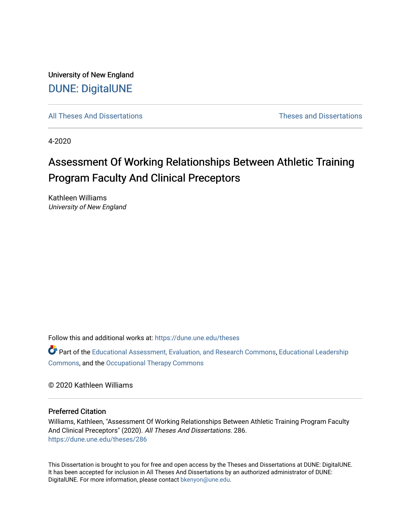University of New England [DUNE: DigitalUNE](https://dune.une.edu/) 

[All Theses And Dissertations](https://dune.une.edu/theses) [Theses and Dissertations](https://dune.une.edu/theses_dissertations) 

4-2020

# Assessment Of Working Relationships Between Athletic Training Program Faculty And Clinical Preceptors

Kathleen Williams University of New England

Follow this and additional works at: [https://dune.une.edu/theses](https://dune.une.edu/theses?utm_source=dune.une.edu%2Ftheses%2F286&utm_medium=PDF&utm_campaign=PDFCoverPages) 

Part of the [Educational Assessment, Evaluation, and Research Commons](http://network.bepress.com/hgg/discipline/796?utm_source=dune.une.edu%2Ftheses%2F286&utm_medium=PDF&utm_campaign=PDFCoverPages), [Educational Leadership](http://network.bepress.com/hgg/discipline/1230?utm_source=dune.une.edu%2Ftheses%2F286&utm_medium=PDF&utm_campaign=PDFCoverPages) [Commons](http://network.bepress.com/hgg/discipline/1230?utm_source=dune.une.edu%2Ftheses%2F286&utm_medium=PDF&utm_campaign=PDFCoverPages), and the [Occupational Therapy Commons](http://network.bepress.com/hgg/discipline/752?utm_source=dune.une.edu%2Ftheses%2F286&utm_medium=PDF&utm_campaign=PDFCoverPages) 

© 2020 Kathleen Williams

#### Preferred Citation

Williams, Kathleen, "Assessment Of Working Relationships Between Athletic Training Program Faculty And Clinical Preceptors" (2020). All Theses And Dissertations. 286. [https://dune.une.edu/theses/286](https://dune.une.edu/theses/286?utm_source=dune.une.edu%2Ftheses%2F286&utm_medium=PDF&utm_campaign=PDFCoverPages)

This Dissertation is brought to you for free and open access by the Theses and Dissertations at DUNE: DigitalUNE. It has been accepted for inclusion in All Theses And Dissertations by an authorized administrator of DUNE: DigitalUNE. For more information, please contact [bkenyon@une.edu.](mailto:bkenyon@une.edu)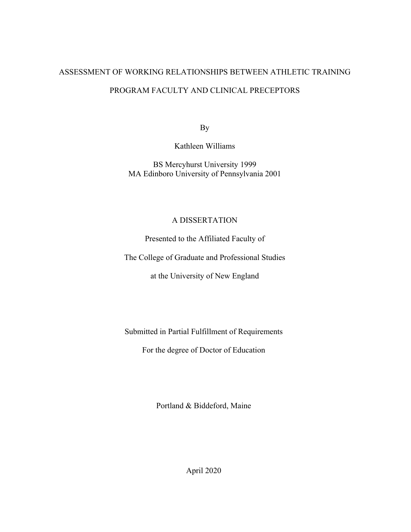# ASSESSMENT OF WORKING RELATIONSHIPS BETWEEN ATHLETIC TRAINING

# PROGRAM FACULTY AND CLINICAL PRECEPTORS

By

Kathleen Williams

BS Mercyhurst University 1999 MA Edinboro University of Pennsylvania 2001

# A DISSERTATION

Presented to the Affiliated Faculty of

The College of Graduate and Professional Studies

at the University of New England

Submitted in Partial Fulfillment of Requirements

For the degree of Doctor of Education

Portland & Biddeford, Maine

April 2020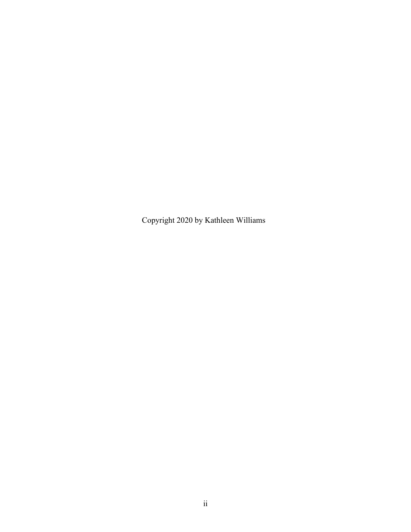Copyright 2020 by Kathleen Williams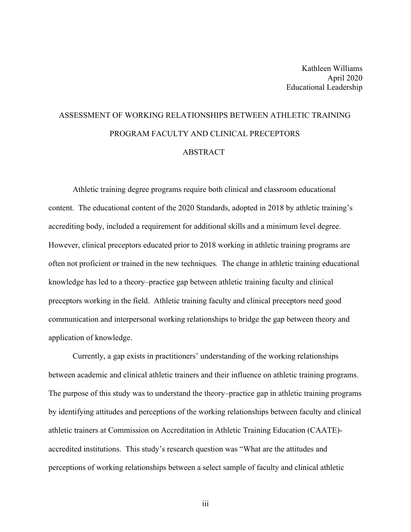# ASSESSMENT OF WORKING RELATIONSHIPS BETWEEN ATHLETIC TRAINING PROGRAM FACULTY AND CLINICAL PRECEPTORS ABSTRACT

Athletic training degree programs require both clinical and classroom educational content. The educational content of the 2020 Standards, adopted in 2018 by athletic training's accrediting body, included a requirement for additional skills and a minimum level degree. However, clinical preceptors educated prior to 2018 working in athletic training programs are often not proficient or trained in the new techniques*.* The change in athletic training educational knowledge has led to a theory–practice gap between athletic training faculty and clinical preceptors working in the field. Athletic training faculty and clinical preceptors need good communication and interpersonal working relationships to bridge the gap between theory and application of knowledge.

Currently, a gap exists in practitioners' understanding of the working relationships between academic and clinical athletic trainers and their influence on athletic training programs. The purpose of this study was to understand the theory–practice gap in athletic training programs by identifying attitudes and perceptions of the working relationships between faculty and clinical athletic trainers at Commission on Accreditation in Athletic Training Education (CAATE) accredited institutions. This study's research question was "What are the attitudes and perceptions of working relationships between a select sample of faculty and clinical athletic

iii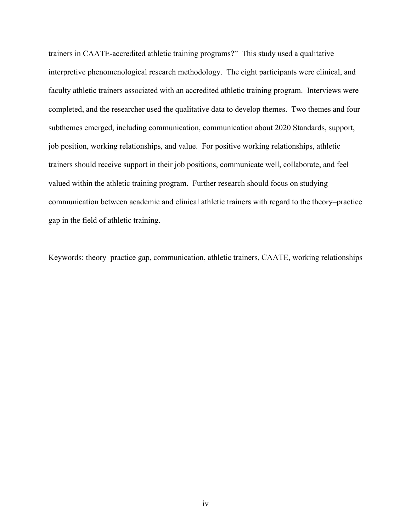trainers in CAATE-accredited athletic training programs?" This study used a qualitative interpretive phenomenological research methodology. The eight participants were clinical, and faculty athletic trainers associated with an accredited athletic training program. Interviews were completed, and the researcher used the qualitative data to develop themes. Two themes and four subthemes emerged, including communication, communication about 2020 Standards, support, job position, working relationships, and value. For positive working relationships, athletic trainers should receive support in their job positions, communicate well, collaborate, and feel valued within the athletic training program. Further research should focus on studying communication between academic and clinical athletic trainers with regard to the theory–practice gap in the field of athletic training.

Keywords: theory–practice gap, communication, athletic trainers, CAATE, working relationships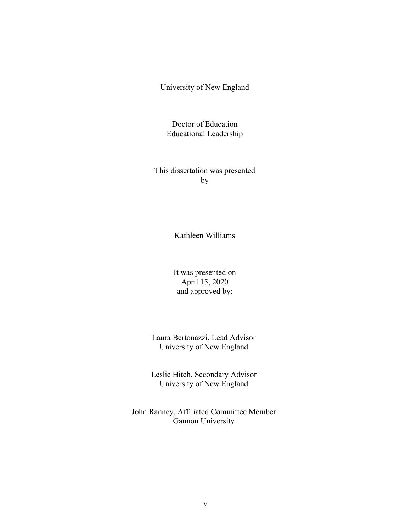University of New England

Doctor of Education Educational Leadership

This dissertation was presented by

Kathleen Williams

It was presented on April 15, 2020 and approved by:

Laura Bertonazzi, Lead Advisor University of New England

Leslie Hitch, Secondary Advisor University of New England

John Ranney, Affiliated Committee Member Gannon University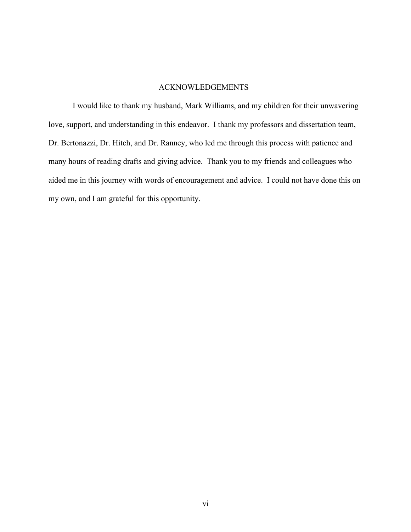# ACKNOWLEDGEMENTS

I would like to thank my husband, Mark Williams, and my children for their unwavering love, support, and understanding in this endeavor. I thank my professors and dissertation team, Dr. Bertonazzi, Dr. Hitch, and Dr. Ranney, who led me through this process with patience and many hours of reading drafts and giving advice. Thank you to my friends and colleagues who aided me in this journey with words of encouragement and advice. I could not have done this on my own, and I am grateful for this opportunity.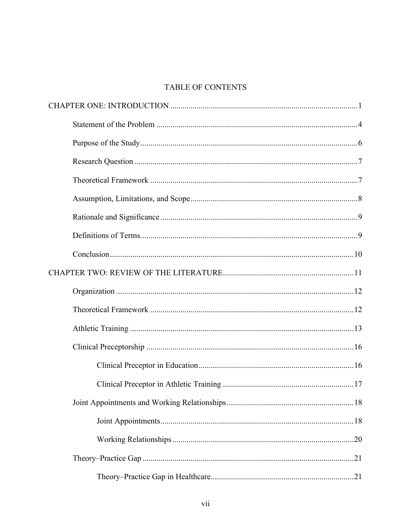# TABLE OF CONTENTS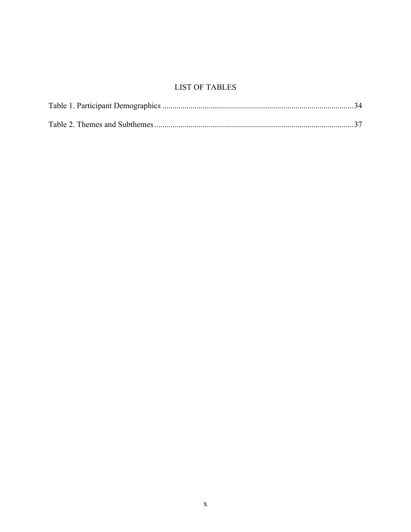# **LIST OF TABLES**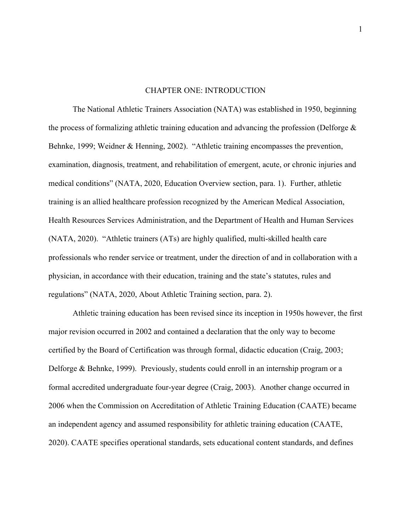#### CHAPTER ONE: INTRODUCTION

The National Athletic Trainers Association (NATA) was established in 1950, beginning the process of formalizing athletic training education and advancing the profession (Delforge  $\&$ Behnke, 1999; Weidner & Henning, 2002). "Athletic training encompasses the prevention, examination, diagnosis, treatment, and rehabilitation of emergent, acute, or chronic injuries and medical conditions" (NATA, 2020, Education Overview section, para. 1). Further, athletic training is an allied healthcare profession recognized by the American Medical Association, Health Resources Services Administration, and the Department of Health and Human Services (NATA, 2020). "Athletic trainers (ATs) are highly qualified, multi-skilled health care professionals who render service or treatment, under the direction of and in collaboration with a physician, in accordance with their education, training and the state's statutes, rules and regulations" (NATA, 2020, About Athletic Training section, para. 2).

Athletic training education has been revised since its inception in 1950s however, the first major revision occurred in 2002 and contained a declaration that the only way to become certified by the Board of Certification was through formal, didactic education (Craig, 2003; Delforge & Behnke, 1999). Previously, students could enroll in an internship program or a formal accredited undergraduate four-year degree (Craig, 2003). Another change occurred in 2006 when the Commission on Accreditation of Athletic Training Education (CAATE) became an independent agency and assumed responsibility for athletic training education (CAATE, 2020). CAATE specifies operational standards, sets educational content standards, and defines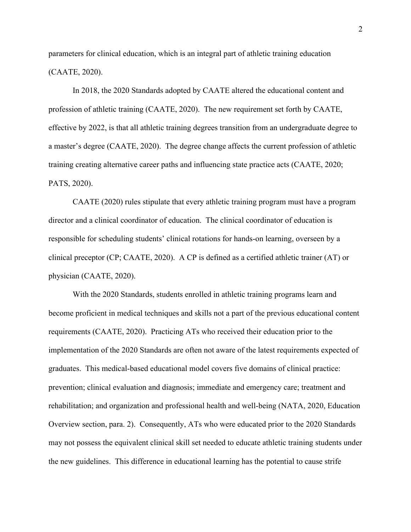parameters for clinical education, which is an integral part of athletic training education (CAATE, 2020).

In 2018, the 2020 Standards adopted by CAATE altered the educational content and profession of athletic training (CAATE, 2020). The new requirement set forth by CAATE, effective by 2022, is that all athletic training degrees transition from an undergraduate degree to a master's degree (CAATE, 2020). The degree change affects the current profession of athletic training creating alternative career paths and influencing state practice acts (CAATE, 2020; PATS, 2020).

CAATE (2020) rules stipulate that every athletic training program must have a program director and a clinical coordinator of education. The clinical coordinator of education is responsible for scheduling students' clinical rotations for hands-on learning, overseen by a clinical preceptor (CP; CAATE, 2020). A CP is defined as a certified athletic trainer (AT) or physician (CAATE, 2020).

With the 2020 Standards, students enrolled in athletic training programs learn and become proficient in medical techniques and skills not a part of the previous educational content requirements (CAATE, 2020). Practicing ATs who received their education prior to the implementation of the 2020 Standards are often not aware of the latest requirements expected of graduates. This medical-based educational model covers five domains of clinical practice: prevention; clinical evaluation and diagnosis; immediate and emergency care; treatment and rehabilitation; and organization and professional health and well-being (NATA, 2020, Education Overview section, para. 2). Consequently, ATs who were educated prior to the 2020 Standards may not possess the equivalent clinical skill set needed to educate athletic training students under the new guidelines. This difference in educational learning has the potential to cause strife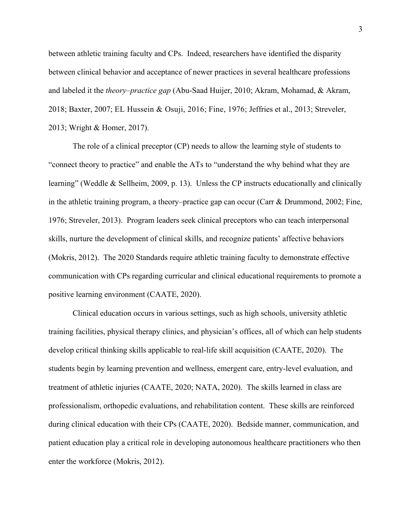between athletic training faculty and CPs. Indeed, researchers have identified the disparity between clinical behavior and acceptance of newer practices in several healthcare professions and labeled it the *theory–practice gap* (Abu-Saad Huijer, 2010; Akram, Mohamad, & Akram, 2018; Baxter, 2007; EL Hussein & Osuji, 2016; Fine, 1976; Jeffries et al., 2013; Streveler, 2013; Wright & Homer, 2017).

The role of a clinical preceptor (CP) needs to allow the learning style of students to "connect theory to practice" and enable the ATs to "understand the why behind what they are learning" (Weddle & Sellheim, 2009, p. 13). Unless the CP instructs educationally and clinically in the athletic training program, a theory–practice gap can occur (Carr & Drummond, 2002; Fine, 1976; Streveler, 2013). Program leaders seek clinical preceptors who can teach interpersonal skills, nurture the development of clinical skills, and recognize patients' affective behaviors (Mokris, 2012). The 2020 Standards require athletic training faculty to demonstrate effective communication with CPs regarding curricular and clinical educational requirements to promote a positive learning environment (CAATE, 2020).

Clinical education occurs in various settings, such as high schools, university athletic training facilities, physical therapy clinics, and physician's offices, all of which can help students develop critical thinking skills applicable to real-life skill acquisition (CAATE, 2020). The students begin by learning prevention and wellness, emergent care, entry-level evaluation, and treatment of athletic injuries (CAATE, 2020; NATA, 2020). The skills learned in class are professionalism, orthopedic evaluations, and rehabilitation content. These skills are reinforced during clinical education with their CPs (CAATE, 2020). Bedside manner, communication, and patient education play a critical role in developing autonomous healthcare practitioners who then enter the workforce (Mokris, 2012).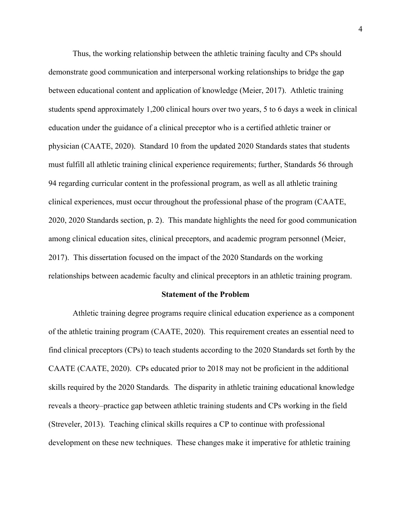Thus, the working relationship between the athletic training faculty and CPs should demonstrate good communication and interpersonal working relationships to bridge the gap between educational content and application of knowledge (Meier, 2017). Athletic training students spend approximately 1,200 clinical hours over two years, 5 to 6 days a week in clinical education under the guidance of a clinical preceptor who is a certified athletic trainer or physician (CAATE, 2020). Standard 10 from the updated 2020 Standards states that students must fulfill all athletic training clinical experience requirements; further, Standards 56 through 94 regarding curricular content in the professional program, as well as all athletic training clinical experiences, must occur throughout the professional phase of the program (CAATE, 2020, 2020 Standards section, p. 2). This mandate highlights the need for good communication among clinical education sites, clinical preceptors, and academic program personnel (Meier, 2017). This dissertation focused on the impact of the 2020 Standards on the working relationships between academic faculty and clinical preceptors in an athletic training program.

#### **Statement of the Problem**

Athletic training degree programs require clinical education experience as a component of the athletic training program (CAATE, 2020). This requirement creates an essential need to find clinical preceptors (CPs) to teach students according to the 2020 Standards set forth by the CAATE (CAATE, 2020). CPs educated prior to 2018 may not be proficient in the additional skills required by the 2020 Standards*.* The disparity in athletic training educational knowledge reveals a theory–practice gap between athletic training students and CPs working in the field (Streveler, 2013). Teaching clinical skills requires a CP to continue with professional development on these new techniques. These changes make it imperative for athletic training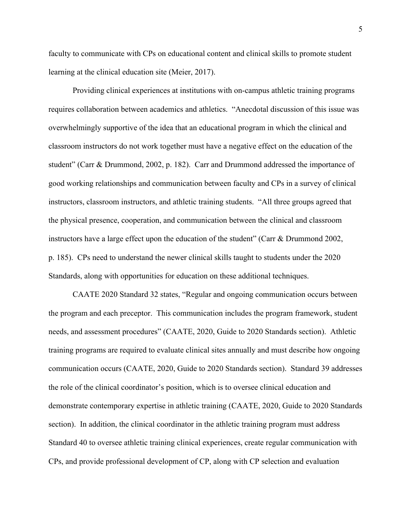faculty to communicate with CPs on educational content and clinical skills to promote student learning at the clinical education site (Meier, 2017).

Providing clinical experiences at institutions with on-campus athletic training programs requires collaboration between academics and athletics. "Anecdotal discussion of this issue was overwhelmingly supportive of the idea that an educational program in which the clinical and classroom instructors do not work together must have a negative effect on the education of the student" (Carr & Drummond, 2002, p. 182). Carr and Drummond addressed the importance of good working relationships and communication between faculty and CPs in a survey of clinical instructors, classroom instructors, and athletic training students. "All three groups agreed that the physical presence, cooperation, and communication between the clinical and classroom instructors have a large effect upon the education of the student" (Carr & Drummond 2002, p. 185). CPs need to understand the newer clinical skills taught to students under the 2020 Standards, along with opportunities for education on these additional techniques.

CAATE 2020 Standard 32 states, "Regular and ongoing communication occurs between the program and each preceptor. This communication includes the program framework, student needs, and assessment procedures" (CAATE, 2020, Guide to 2020 Standards section). Athletic training programs are required to evaluate clinical sites annually and must describe how ongoing communication occurs (CAATE, 2020, Guide to 2020 Standards section). Standard 39 addresses the role of the clinical coordinator's position, which is to oversee clinical education and demonstrate contemporary expertise in athletic training (CAATE, 2020, Guide to 2020 Standards section). In addition, the clinical coordinator in the athletic training program must address Standard 40 to oversee athletic training clinical experiences, create regular communication with CPs, and provide professional development of CP, along with CP selection and evaluation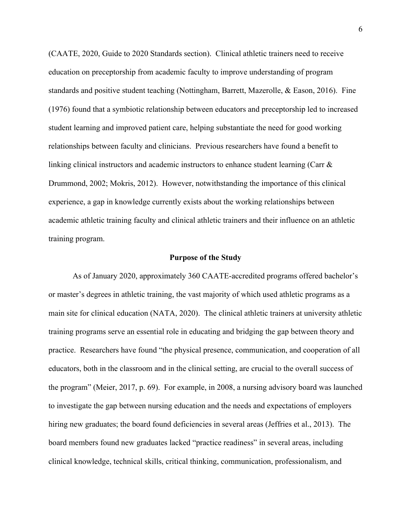(CAATE, 2020, Guide to 2020 Standards section). Clinical athletic trainers need to receive education on preceptorship from academic faculty to improve understanding of program standards and positive student teaching (Nottingham, Barrett, Mazerolle, & Eason, 2016). Fine (1976) found that a symbiotic relationship between educators and preceptorship led to increased student learning and improved patient care, helping substantiate the need for good working relationships between faculty and clinicians. Previous researchers have found a benefit to linking clinical instructors and academic instructors to enhance student learning (Carr & Drummond, 2002; Mokris, 2012). However, notwithstanding the importance of this clinical experience, a gap in knowledge currently exists about the working relationships between academic athletic training faculty and clinical athletic trainers and their influence on an athletic training program.

#### **Purpose of the Study**

As of January 2020, approximately 360 CAATE-accredited programs offered bachelor's or master's degrees in athletic training, the vast majority of which used athletic programs as a main site for clinical education (NATA, 2020). The clinical athletic trainers at university athletic training programs serve an essential role in educating and bridging the gap between theory and practice. Researchers have found "the physical presence, communication, and cooperation of all educators, both in the classroom and in the clinical setting, are crucial to the overall success of the program" (Meier, 2017, p. 69). For example, in 2008, a nursing advisory board was launched to investigate the gap between nursing education and the needs and expectations of employers hiring new graduates; the board found deficiencies in several areas (Jeffries et al., 2013). The board members found new graduates lacked "practice readiness" in several areas, including clinical knowledge, technical skills, critical thinking, communication, professionalism, and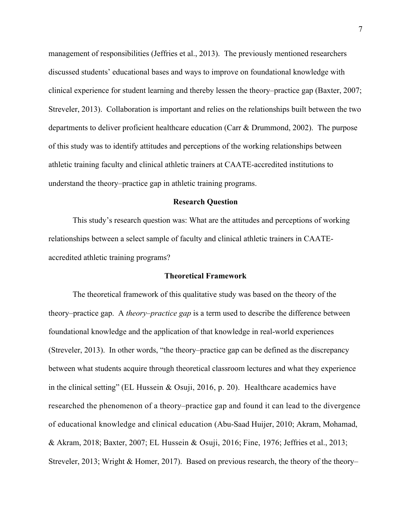management of responsibilities (Jeffries et al., 2013). The previously mentioned researchers discussed students' educational bases and ways to improve on foundational knowledge with clinical experience for student learning and thereby lessen the theory–practice gap (Baxter, 2007; Streveler, 2013). Collaboration is important and relies on the relationships built between the two departments to deliver proficient healthcare education (Carr & Drummond, 2002). The purpose of this study was to identify attitudes and perceptions of the working relationships between athletic training faculty and clinical athletic trainers at CAATE-accredited institutions to understand the theory–practice gap in athletic training programs.

#### **Research Question**

This study's research question was: What are the attitudes and perceptions of working relationships between a select sample of faculty and clinical athletic trainers in CAATEaccredited athletic training programs?

## **Theoretical Framework**

The theoretical framework of this qualitative study was based on the theory of the theory–practice gap. A *theory–practice gap* is a term used to describe the difference between foundational knowledge and the application of that knowledge in real-world experiences (Streveler, 2013). In other words, "the theory–practice gap can be defined as the discrepancy between what students acquire through theoretical classroom lectures and what they experience in the clinical setting" (EL Hussein & Osuji, 2016, p. 20). Healthcare academics have researched the phenomenon of a theory–practice gap and found it can lead to the divergence of educational knowledge and clinical education (Abu-Saad Huijer, 2010; Akram, Mohamad, & Akram, 2018; Baxter, 2007; EL Hussein & Osuji, 2016; Fine, 1976; Jeffries et al., 2013; Streveler, 2013; Wright & Homer, 2017). Based on previous research, the theory of the theory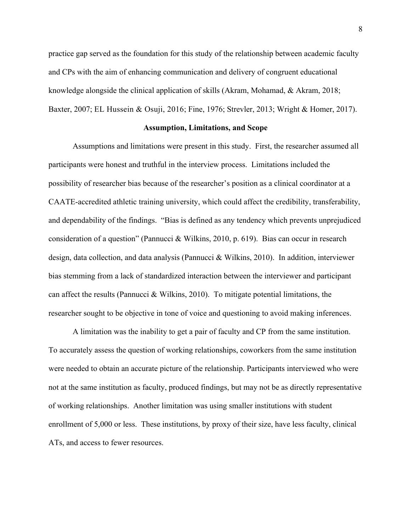practice gap served as the foundation for this study of the relationship between academic faculty and CPs with the aim of enhancing communication and delivery of congruent educational knowledge alongside the clinical application of skills (Akram, Mohamad, & Akram, 2018; Baxter, 2007; EL Hussein & Osuji, 2016; Fine, 1976; Strevler, 2013; Wright & Homer, 2017).

#### **Assumption, Limitations, and Scope**

Assumptions and limitations were present in this study. First, the researcher assumed all participants were honest and truthful in the interview process. Limitations included the possibility of researcher bias because of the researcher's position as a clinical coordinator at a CAATE-accredited athletic training university, which could affect the credibility, transferability, and dependability of the findings. "Bias is defined as any tendency which prevents unprejudiced consideration of a question" (Pannucci & Wilkins, 2010, p. 619). Bias can occur in research design, data collection, and data analysis (Pannucci & Wilkins, 2010). In addition, interviewer bias stemming from a lack of standardized interaction between the interviewer and participant can affect the results (Pannucci & Wilkins, 2010). To mitigate potential limitations, the researcher sought to be objective in tone of voice and questioning to avoid making inferences.

A limitation was the inability to get a pair of faculty and CP from the same institution. To accurately assess the question of working relationships, coworkers from the same institution were needed to obtain an accurate picture of the relationship. Participants interviewed who were not at the same institution as faculty, produced findings, but may not be as directly representative of working relationships. Another limitation was using smaller institutions with student enrollment of 5,000 or less. These institutions, by proxy of their size, have less faculty, clinical ATs, and access to fewer resources.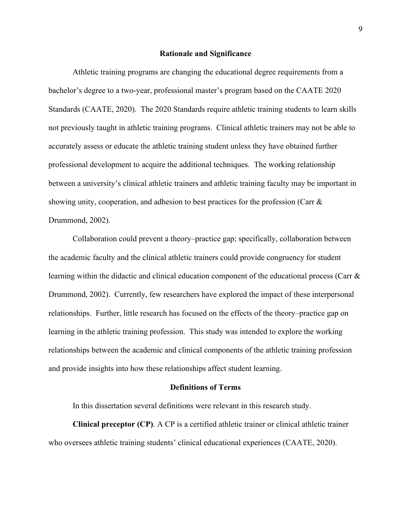#### **Rationale and Significance**

Athletic training programs are changing the educational degree requirements from a bachelor's degree to a two-year, professional master's program based on the CAATE 2020 Standards (CAATE, 2020). The 2020 Standards require athletic training students to learn skills not previously taught in athletic training programs. Clinical athletic trainers may not be able to accurately assess or educate the athletic training student unless they have obtained further professional development to acquire the additional techniques. The working relationship between a university's clinical athletic trainers and athletic training faculty may be important in showing unity, cooperation, and adhesion to best practices for the profession (Carr & Drummond, 2002).

Collaboration could prevent a theory–practice gap; specifically, collaboration between the academic faculty and the clinical athletic trainers could provide congruency for student learning within the didactic and clinical education component of the educational process (Carr & Drummond, 2002). Currently, few researchers have explored the impact of these interpersonal relationships. Further, little research has focused on the effects of the theory–practice gap on learning in the athletic training profession. This study was intended to explore the working relationships between the academic and clinical components of the athletic training profession and provide insights into how these relationships affect student learning.

#### **Definitions of Terms**

In this dissertation several definitions were relevant in this research study.

**Clinical preceptor (CP)**. A CP is a certified athletic trainer or clinical athletic trainer who oversees athletic training students' clinical educational experiences (CAATE, 2020).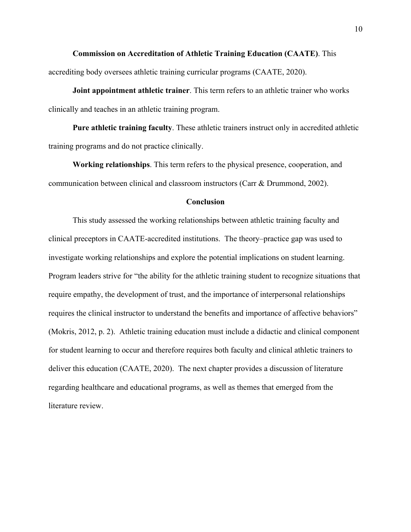**Commission on Accreditation of Athletic Training Education (CAATE)**. This accrediting body oversees athletic training curricular programs (CAATE, 2020).

**Joint appointment athletic trainer**. This term refers to an athletic trainer who works clinically and teaches in an athletic training program.

**Pure athletic training faculty**. These athletic trainers instruct only in accredited athletic training programs and do not practice clinically.

**Working relationships**. This term refers to the physical presence, cooperation, and communication between clinical and classroom instructors (Carr & Drummond, 2002).

## **Conclusion**

This study assessed the working relationships between athletic training faculty and clinical preceptors in CAATE-accredited institutions. The theory–practice gap was used to investigate working relationships and explore the potential implications on student learning. Program leaders strive for "the ability for the athletic training student to recognize situations that require empathy, the development of trust, and the importance of interpersonal relationships requires the clinical instructor to understand the benefits and importance of affective behaviors" (Mokris, 2012, p. 2). Athletic training education must include a didactic and clinical component for student learning to occur and therefore requires both faculty and clinical athletic trainers to deliver this education (CAATE, 2020). The next chapter provides a discussion of literature regarding healthcare and educational programs, as well as themes that emerged from the literature review.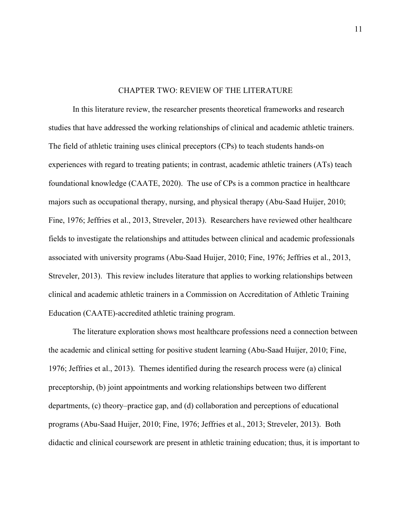### CHAPTER TWO: REVIEW OF THE LITERATURE

In this literature review, the researcher presents theoretical frameworks and research studies that have addressed the working relationships of clinical and academic athletic trainers. The field of athletic training uses clinical preceptors (CPs) to teach students hands-on experiences with regard to treating patients; in contrast, academic athletic trainers (ATs) teach foundational knowledge (CAATE, 2020). The use of CPs is a common practice in healthcare majors such as occupational therapy, nursing, and physical therapy (Abu-Saad Huijer, 2010; Fine, 1976; Jeffries et al., 2013, Streveler, 2013). Researchers have reviewed other healthcare fields to investigate the relationships and attitudes between clinical and academic professionals associated with university programs (Abu-Saad Huijer, 2010; Fine, 1976; Jeffries et al., 2013, Streveler, 2013). This review includes literature that applies to working relationships between clinical and academic athletic trainers in a Commission on Accreditation of Athletic Training Education (CAATE)-accredited athletic training program.

The literature exploration shows most healthcare professions need a connection between the academic and clinical setting for positive student learning (Abu-Saad Huijer, 2010; Fine, 1976; Jeffries et al., 2013). Themes identified during the research process were (a) clinical preceptorship, (b) joint appointments and working relationships between two different departments, (c) theory–practice gap, and (d) collaboration and perceptions of educational programs (Abu-Saad Huijer, 2010; Fine, 1976; Jeffries et al., 2013; Streveler, 2013). Both didactic and clinical coursework are present in athletic training education; thus, it is important to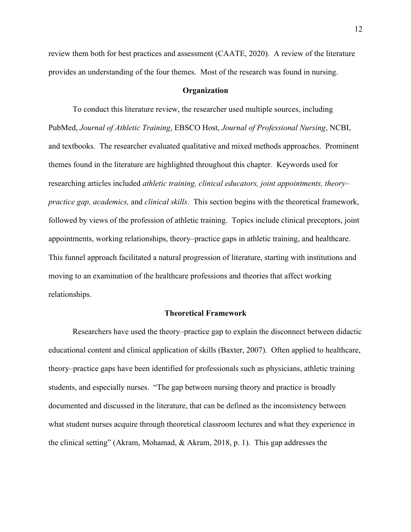review them both for best practices and assessment (CAATE, 2020). A review of the literature provides an understanding of the four themes. Most of the research was found in nursing.

#### **Organization**

To conduct this literature review, the researcher used multiple sources, including PubMed, *Journal of Athletic Training*, EBSCO Host, *Journal of Professional Nursing*, NCBI, and textbooks. The researcher evaluated qualitative and mixed methods approaches. Prominent themes found in the literature are highlighted throughout this chapter. Keywords used for researching articles included *athletic training, clinical educators, joint appointments, theory– practice gap, academics,* and *clinical skills*. This section begins with the theoretical framework, followed by views of the profession of athletic training. Topics include clinical preceptors, joint appointments, working relationships, theory–practice gaps in athletic training, and healthcare. This funnel approach facilitated a natural progression of literature, starting with institutions and moving to an examination of the healthcare professions and theories that affect working relationships.

#### **Theoretical Framework**

Researchers have used the theory–practice gap to explain the disconnect between didactic educational content and clinical application of skills (Baxter, 2007). Often applied to healthcare, theory–practice gaps have been identified for professionals such as physicians, athletic training students, and especially nurses. "The gap between nursing theory and practice is broadly documented and discussed in the literature, that can be defined as the inconsistency between what student nurses acquire through theoretical classroom lectures and what they experience in the clinical setting" (Akram, Mohamad, & Akram, 2018, p. 1). This gap addresses the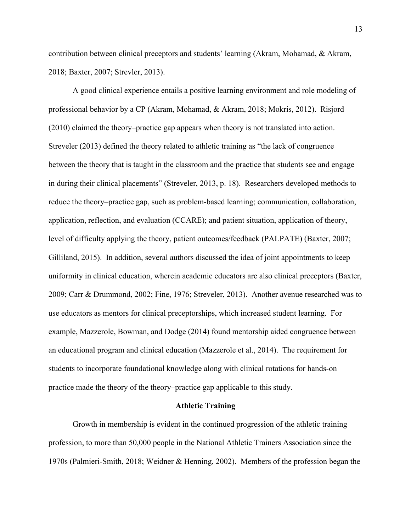contribution between clinical preceptors and students' learning (Akram, Mohamad, & Akram, 2018; Baxter, 2007; Strevler, 2013).

A good clinical experience entails a positive learning environment and role modeling of professional behavior by a CP (Akram, Mohamad, & Akram, 2018; Mokris, 2012). Risjord (2010) claimed the theory–practice gap appears when theory is not translated into action. Streveler (2013) defined the theory related to athletic training as "the lack of congruence between the theory that is taught in the classroom and the practice that students see and engage in during their clinical placements" (Streveler, 2013, p. 18). Researchers developed methods to reduce the theory–practice gap, such as problem-based learning; communication, collaboration, application, reflection, and evaluation (CCARE); and patient situation, application of theory, level of difficulty applying the theory, patient outcomes/feedback (PALPATE) (Baxter, 2007; Gilliland, 2015). In addition, several authors discussed the idea of joint appointments to keep uniformity in clinical education, wherein academic educators are also clinical preceptors (Baxter, 2009; Carr & Drummond, 2002; Fine, 1976; Streveler, 2013). Another avenue researched was to use educators as mentors for clinical preceptorships, which increased student learning. For example, Mazzerole, Bowman, and Dodge (2014) found mentorship aided congruence between an educational program and clinical education (Mazzerole et al., 2014). The requirement for students to incorporate foundational knowledge along with clinical rotations for hands-on practice made the theory of the theory–practice gap applicable to this study.

## **Athletic Training**

Growth in membership is evident in the continued progression of the athletic training profession, to more than 50,000 people in the National Athletic Trainers Association since the 1970s (Palmieri-Smith, 2018; Weidner & Henning, 2002). Members of the profession began the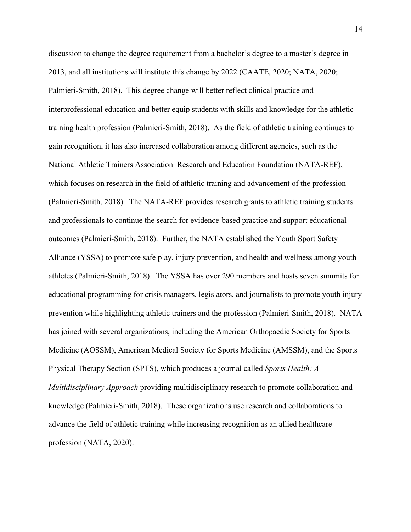discussion to change the degree requirement from a bachelor's degree to a master's degree in 2013, and all institutions will institute this change by 2022 (CAATE, 2020; NATA, 2020; Palmieri-Smith, 2018). This degree change will better reflect clinical practice and interprofessional education and better equip students with skills and knowledge for the athletic training health profession (Palmieri-Smith, 2018). As the field of athletic training continues to gain recognition, it has also increased collaboration among different agencies, such as the National Athletic Trainers Association–Research and Education Foundation (NATA-REF), which focuses on research in the field of athletic training and advancement of the profession (Palmieri-Smith, 2018). The NATA-REF provides research grants to athletic training students and professionals to continue the search for evidence-based practice and support educational outcomes (Palmieri-Smith, 2018). Further, the NATA established the Youth Sport Safety Alliance (YSSA) to promote safe play, injury prevention, and health and wellness among youth athletes (Palmieri-Smith, 2018). The YSSA has over 290 members and hosts seven summits for educational programming for crisis managers, legislators, and journalists to promote youth injury prevention while highlighting athletic trainers and the profession (Palmieri-Smith, 2018). NATA has joined with several organizations, including the American Orthopaedic Society for Sports Medicine (AOSSM), American Medical Society for Sports Medicine (AMSSM), and the Sports Physical Therapy Section (SPTS), which produces a journal called *Sports Health: A Multidisciplinary Approach* providing multidisciplinary research to promote collaboration and knowledge (Palmieri-Smith, 2018). These organizations use research and collaborations to advance the field of athletic training while increasing recognition as an allied healthcare profession (NATA, 2020).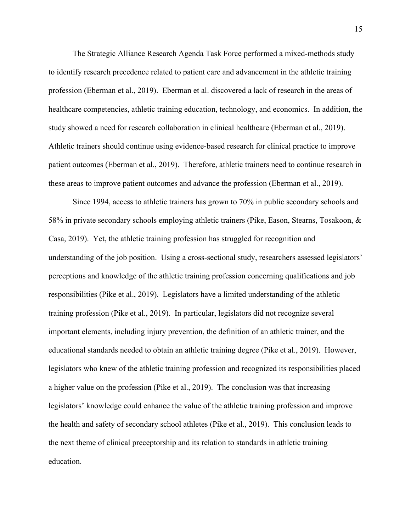The Strategic Alliance Research Agenda Task Force performed a mixed-methods study to identify research precedence related to patient care and advancement in the athletic training profession (Eberman et al., 2019). Eberman et al. discovered a lack of research in the areas of healthcare competencies, athletic training education, technology, and economics. In addition, the study showed a need for research collaboration in clinical healthcare (Eberman et al., 2019). Athletic trainers should continue using evidence-based research for clinical practice to improve patient outcomes (Eberman et al., 2019). Therefore, athletic trainers need to continue research in these areas to improve patient outcomes and advance the profession (Eberman et al., 2019).

Since 1994, access to athletic trainers has grown to 70% in public secondary schools and 58% in private secondary schools employing athletic trainers (Pike, Eason, Stearns, Tosakoon, & Casa, 2019). Yet, the athletic training profession has struggled for recognition and understanding of the job position. Using a cross-sectional study, researchers assessed legislators' perceptions and knowledge of the athletic training profession concerning qualifications and job responsibilities (Pike et al., 2019). Legislators have a limited understanding of the athletic training profession (Pike et al., 2019). In particular, legislators did not recognize several important elements, including injury prevention, the definition of an athletic trainer, and the educational standards needed to obtain an athletic training degree (Pike et al., 2019). However, legislators who knew of the athletic training profession and recognized its responsibilities placed a higher value on the profession (Pike et al., 2019). The conclusion was that increasing legislators' knowledge could enhance the value of the athletic training profession and improve the health and safety of secondary school athletes (Pike et al., 2019). This conclusion leads to the next theme of clinical preceptorship and its relation to standards in athletic training education.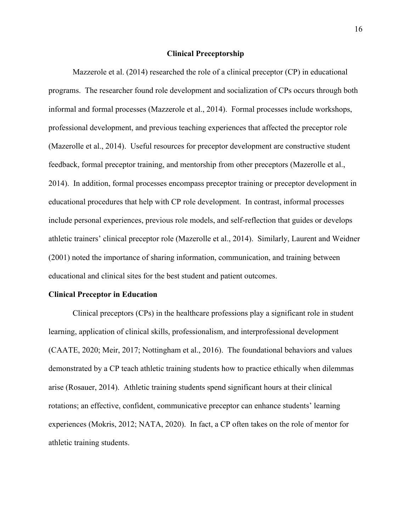#### **Clinical Preceptorship**

Mazzerole et al. (2014) researched the role of a clinical preceptor (CP) in educational programs. The researcher found role development and socialization of CPs occurs through both informal and formal processes (Mazzerole et al., 2014). Formal processes include workshops, professional development, and previous teaching experiences that affected the preceptor role (Mazerolle et al., 2014). Useful resources for preceptor development are constructive student feedback, formal preceptor training, and mentorship from other preceptors (Mazerolle et al., 2014). In addition, formal processes encompass preceptor training or preceptor development in educational procedures that help with CP role development. In contrast, informal processes include personal experiences, previous role models, and self-reflection that guides or develops athletic trainers' clinical preceptor role (Mazerolle et al., 2014). Similarly, Laurent and Weidner (2001) noted the importance of sharing information, communication, and training between educational and clinical sites for the best student and patient outcomes.

#### **Clinical Preceptor in Education**

Clinical preceptors (CPs) in the healthcare professions play a significant role in student learning, application of clinical skills, professionalism, and interprofessional development (CAATE, 2020; Meir, 2017; Nottingham et al., 2016). The foundational behaviors and values demonstrated by a CP teach athletic training students how to practice ethically when dilemmas arise (Rosauer, 2014). Athletic training students spend significant hours at their clinical rotations; an effective, confident, communicative preceptor can enhance students' learning experiences (Mokris, 2012; NATA, 2020). In fact, a CP often takes on the role of mentor for athletic training students.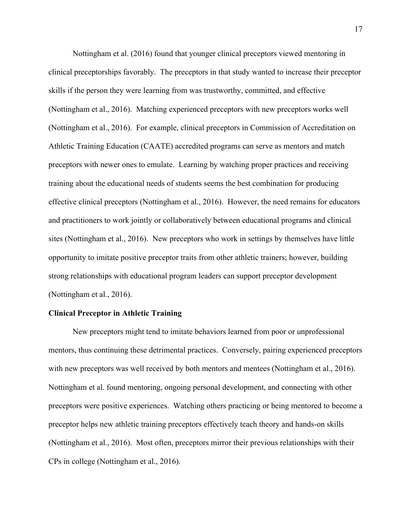Nottingham et al. (2016) found that younger clinical preceptors viewed mentoring in clinical preceptorships favorably. The preceptors in that study wanted to increase their preceptor skills if the person they were learning from was trustworthy, committed, and effective (Nottingham et al., 2016). Matching experienced preceptors with new preceptors works well (Nottingham et al., 2016). For example, clinical preceptors in Commission of Accreditation on Athletic Training Education (CAATE) accredited programs can serve as mentors and match preceptors with newer ones to emulate. Learning by watching proper practices and receiving training about the educational needs of students seems the best combination for producing effective clinical preceptors (Nottingham et al., 2016). However, the need remains for educators and practitioners to work jointly or collaboratively between educational programs and clinical sites (Nottingham et al., 2016). New preceptors who work in settings by themselves have little opportunity to imitate positive preceptor traits from other athletic trainers; however, building strong relationships with educational program leaders can support preceptor development (Nottingham et al., 2016).

# **Clinical Preceptor in Athletic Training**

New preceptors might tend to imitate behaviors learned from poor or unprofessional mentors, thus continuing these detrimental practices. Conversely, pairing experienced preceptors with new preceptors was well received by both mentors and mentees (Nottingham et al., 2016). Nottingham et al. found mentoring, ongoing personal development, and connecting with other preceptors were positive experiences. Watching others practicing or being mentored to become a preceptor helps new athletic training preceptors effectively teach theory and hands-on skills (Nottingham et al., 2016). Most often, preceptors mirror their previous relationships with their CPs in college (Nottingham et al., 2016).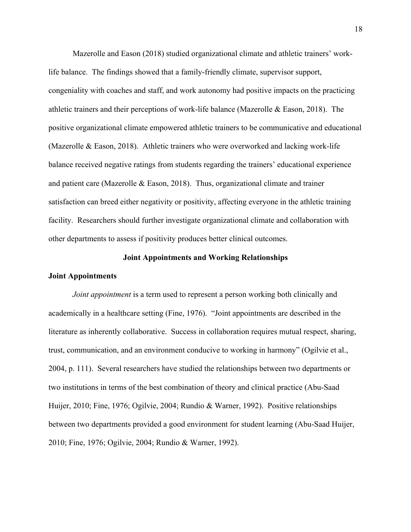Mazerolle and Eason (2018) studied organizational climate and athletic trainers' worklife balance. The findings showed that a family-friendly climate, supervisor support, congeniality with coaches and staff, and work autonomy had positive impacts on the practicing athletic trainers and their perceptions of work-life balance (Mazerolle & Eason, 2018). The positive organizational climate empowered athletic trainers to be communicative and educational (Mazerolle & Eason, 2018). Athletic trainers who were overworked and lacking work-life balance received negative ratings from students regarding the trainers' educational experience and patient care (Mazerolle & Eason, 2018). Thus, organizational climate and trainer satisfaction can breed either negativity or positivity, affecting everyone in the athletic training facility. Researchers should further investigate organizational climate and collaboration with other departments to assess if positivity produces better clinical outcomes.

#### **Joint Appointments and Working Relationships**

#### **Joint Appointments**

*Joint appointment* is a term used to represent a person working both clinically and academically in a healthcare setting (Fine, 1976). "Joint appointments are described in the literature as inherently collaborative. Success in collaboration requires mutual respect, sharing, trust, communication, and an environment conducive to working in harmony" (Ogilvie et al., 2004, p. 111). Several researchers have studied the relationships between two departments or two institutions in terms of the best combination of theory and clinical practice (Abu-Saad Huijer, 2010; Fine, 1976; Ogilvie, 2004; Rundio & Warner, 1992). Positive relationships between two departments provided a good environment for student learning (Abu-Saad Huijer, 2010; Fine, 1976; Ogilvie, 2004; Rundio & Warner, 1992).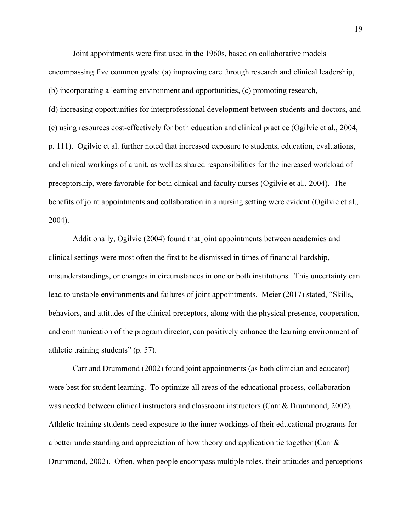Joint appointments were first used in the 1960s, based on collaborative models encompassing five common goals: (a) improving care through research and clinical leadership, (b) incorporating a learning environment and opportunities, (c) promoting research, (d) increasing opportunities for interprofessional development between students and doctors, and (e) using resources cost-effectively for both education and clinical practice (Ogilvie et al., 2004, p. 111). Ogilvie et al. further noted that increased exposure to students, education, evaluations, and clinical workings of a unit, as well as shared responsibilities for the increased workload of preceptorship, were favorable for both clinical and faculty nurses (Ogilvie et al., 2004). The benefits of joint appointments and collaboration in a nursing setting were evident (Ogilvie et al., 2004).

Additionally, Ogilvie (2004) found that joint appointments between academics and clinical settings were most often the first to be dismissed in times of financial hardship, misunderstandings, or changes in circumstances in one or both institutions. This uncertainty can lead to unstable environments and failures of joint appointments. Meier (2017) stated, "Skills, behaviors, and attitudes of the clinical preceptors, along with the physical presence, cooperation, and communication of the program director, can positively enhance the learning environment of athletic training students" (p. 57).

Carr and Drummond (2002) found joint appointments (as both clinician and educator) were best for student learning. To optimize all areas of the educational process, collaboration was needed between clinical instructors and classroom instructors (Carr & Drummond, 2002). Athletic training students need exposure to the inner workings of their educational programs for a better understanding and appreciation of how theory and application tie together (Carr & Drummond, 2002). Often, when people encompass multiple roles, their attitudes and perceptions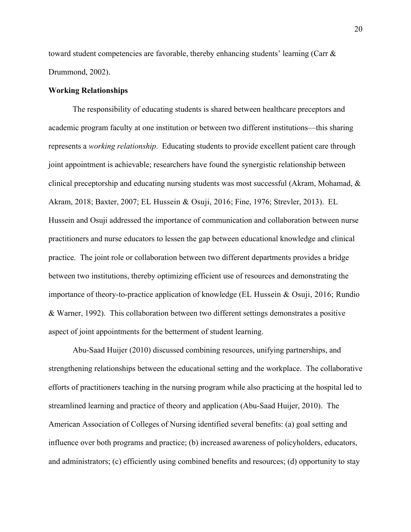toward student competencies are favorable, thereby enhancing students' learning (Carr  $\&$ Drummond, 2002).

#### **Working Relationships**

The responsibility of educating students is shared between healthcare preceptors and academic program faculty at one institution or between two different institutions—this sharing represents a *working relationship*. Educating students to provide excellent patient care through joint appointment is achievable; researchers have found the synergistic relationship between clinical preceptorship and educating nursing students was most successful (Akram, Mohamad, & Akram, 2018; Baxter, 2007; EL Hussein & Osuji, 2016; Fine, 1976; Strevler, 2013). EL Hussein and Osuji addressed the importance of communication and collaboration between nurse practitioners and nurse educators to lessen the gap between educational knowledge and clinical practice. The joint role or collaboration between two different departments provides a bridge between two institutions, thereby optimizing efficient use of resources and demonstrating the importance of theory-to-practice application of knowledge (EL Hussein & Osuji, 2016; Rundio & Warner, 1992). This collaboration between two different settings demonstrates a positive aspect of joint appointments for the betterment of student learning.

Abu-Saad Huijer (2010) discussed combining resources, unifying partnerships, and strengthening relationships between the educational setting and the workplace. The collaborative efforts of practitioners teaching in the nursing program while also practicing at the hospital led to streamlined learning and practice of theory and application (Abu-Saad Huijer, 2010). The American Association of Colleges of Nursing identified several benefits: (a) goal setting and influence over both programs and practice; (b) increased awareness of policyholders, educators, and administrators; (c) efficiently using combined benefits and resources; (d) opportunity to stay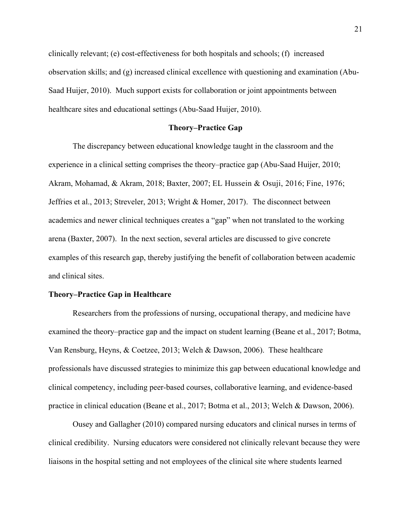clinically relevant; (e) cost-effectiveness for both hospitals and schools; (f) increased observation skills; and (g) increased clinical excellence with questioning and examination (Abu-Saad Huijer, 2010). Much support exists for collaboration or joint appointments between healthcare sites and educational settings (Abu-Saad Huijer, 2010).

## **Theory–Practice Gap**

The discrepancy between educational knowledge taught in the classroom and the experience in a clinical setting comprises the theory–practice gap (Abu-Saad Huijer, 2010; Akram, Mohamad, & Akram, 2018; Baxter, 2007; EL Hussein & Osuji, 2016; Fine, 1976; Jeffries et al., 2013; Streveler, 2013; Wright & Homer, 2017). The disconnect between academics and newer clinical techniques creates a "gap" when not translated to the working arena (Baxter, 2007). In the next section, several articles are discussed to give concrete examples of this research gap, thereby justifying the benefit of collaboration between academic and clinical sites.

#### **Theory–Practice Gap in Healthcare**

Researchers from the professions of nursing, occupational therapy, and medicine have examined the theory–practice gap and the impact on student learning (Beane et al., 2017; Botma, Van Rensburg, Heyns, & Coetzee, 2013; Welch & Dawson, 2006). These healthcare professionals have discussed strategies to minimize this gap between educational knowledge and clinical competency, including peer-based courses, collaborative learning, and evidence-based practice in clinical education (Beane et al., 2017; Botma et al., 2013; Welch & Dawson, 2006).

Ousey and Gallagher (2010) compared nursing educators and clinical nurses in terms of clinical credibility. Nursing educators were considered not clinically relevant because they were liaisons in the hospital setting and not employees of the clinical site where students learned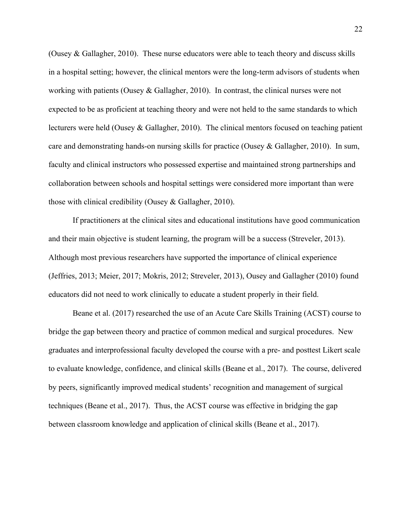(Ousey & Gallagher, 2010). These nurse educators were able to teach theory and discuss skills in a hospital setting; however, the clinical mentors were the long-term advisors of students when working with patients (Ousey & Gallagher, 2010). In contrast, the clinical nurses were not expected to be as proficient at teaching theory and were not held to the same standards to which lecturers were held (Ousey & Gallagher, 2010). The clinical mentors focused on teaching patient care and demonstrating hands-on nursing skills for practice (Ousey & Gallagher, 2010). In sum, faculty and clinical instructors who possessed expertise and maintained strong partnerships and collaboration between schools and hospital settings were considered more important than were those with clinical credibility (Ousey & Gallagher, 2010).

If practitioners at the clinical sites and educational institutions have good communication and their main objective is student learning, the program will be a success (Streveler, 2013). Although most previous researchers have supported the importance of clinical experience (Jeffries, 2013; Meier, 2017; Mokris, 2012; Streveler, 2013), Ousey and Gallagher (2010) found educators did not need to work clinically to educate a student properly in their field.

Beane et al. (2017) researched the use of an Acute Care Skills Training (ACST) course to bridge the gap between theory and practice of common medical and surgical procedures. New graduates and interprofessional faculty developed the course with a pre- and posttest Likert scale to evaluate knowledge, confidence, and clinical skills (Beane et al., 2017). The course, delivered by peers, significantly improved medical students' recognition and management of surgical techniques (Beane et al., 2017). Thus, the ACST course was effective in bridging the gap between classroom knowledge and application of clinical skills (Beane et al., 2017).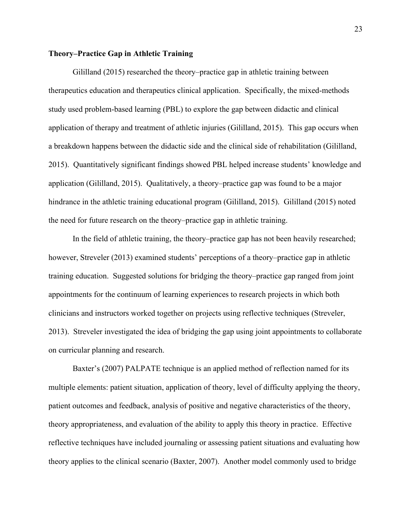# **Theory–Practice Gap in Athletic Training**

Gililland (2015) researched the theory–practice gap in athletic training between therapeutics education and therapeutics clinical application. Specifically, the mixed-methods study used problem-based learning (PBL) to explore the gap between didactic and clinical application of therapy and treatment of athletic injuries (Gililland, 2015). This gap occurs when a breakdown happens between the didactic side and the clinical side of rehabilitation (Gililland, 2015). Quantitatively significant findings showed PBL helped increase students' knowledge and application (Gililland, 2015). Qualitatively, a theory–practice gap was found to be a major hindrance in the athletic training educational program (Gililland, 2015). Gililland (2015) noted the need for future research on the theory–practice gap in athletic training.

In the field of athletic training, the theory–practice gap has not been heavily researched; however, Streveler (2013) examined students' perceptions of a theory–practice gap in athletic training education. Suggested solutions for bridging the theory–practice gap ranged from joint appointments for the continuum of learning experiences to research projects in which both clinicians and instructors worked together on projects using reflective techniques (Streveler, 2013). Streveler investigated the idea of bridging the gap using joint appointments to collaborate on curricular planning and research.

Baxter's (2007) PALPATE technique is an applied method of reflection named for its multiple elements: patient situation, application of theory, level of difficulty applying the theory, patient outcomes and feedback, analysis of positive and negative characteristics of the theory, theory appropriateness, and evaluation of the ability to apply this theory in practice. Effective reflective techniques have included journaling or assessing patient situations and evaluating how theory applies to the clinical scenario (Baxter, 2007). Another model commonly used to bridge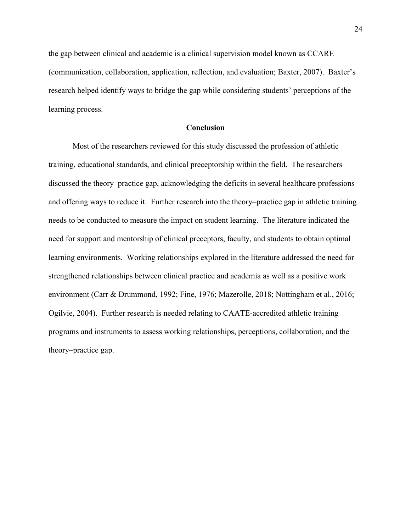the gap between clinical and academic is a clinical supervision model known as CCARE (communication, collaboration, application, reflection, and evaluation; Baxter, 2007). Baxter's research helped identify ways to bridge the gap while considering students' perceptions of the learning process.

## **Conclusion**

Most of the researchers reviewed for this study discussed the profession of athletic training, educational standards, and clinical preceptorship within the field. The researchers discussed the theory–practice gap, acknowledging the deficits in several healthcare professions and offering ways to reduce it. Further research into the theory–practice gap in athletic training needs to be conducted to measure the impact on student learning. The literature indicated the need for support and mentorship of clinical preceptors, faculty, and students to obtain optimal learning environments. Working relationships explored in the literature addressed the need for strengthened relationships between clinical practice and academia as well as a positive work environment (Carr & Drummond, 1992; Fine, 1976; Mazerolle, 2018; Nottingham et al., 2016; Ogilvie, 2004). Further research is needed relating to CAATE-accredited athletic training programs and instruments to assess working relationships, perceptions, collaboration, and the theory–practice gap.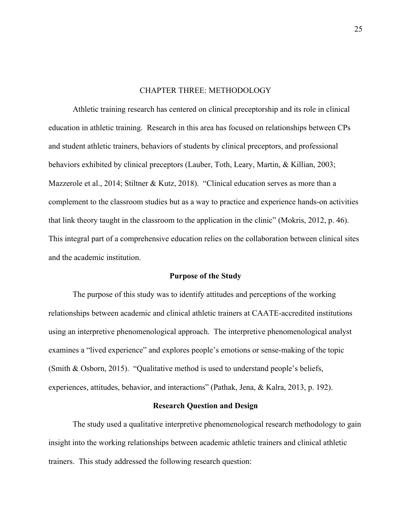## CHAPTER THREE: METHODOLOGY

Athletic training research has centered on clinical preceptorship and its role in clinical education in athletic training. Research in this area has focused on relationships between CPs and student athletic trainers, behaviors of students by clinical preceptors, and professional behaviors exhibited by clinical preceptors (Lauber, Toth, Leary, Martin, & Killian, 2003; Mazzerole et al., 2014; Stiltner & Kutz, 2018). "Clinical education serves as more than a complement to the classroom studies but as a way to practice and experience hands-on activities that link theory taught in the classroom to the application in the clinic" (Mokris, 2012, p. 46). This integral part of a comprehensive education relies on the collaboration between clinical sites and the academic institution.

#### **Purpose of the Study**

The purpose of this study was to identify attitudes and perceptions of the working relationships between academic and clinical athletic trainers at CAATE-accredited institutions using an interpretive phenomenological approach. The interpretive phenomenological analyst examines a "lived experience" and explores people's emotions or sense-making of the topic (Smith & Osborn, 2015). "Qualitative method is used to understand people's beliefs, experiences, attitudes, behavior, and interactions" (Pathak, Jena, & Kalra, 2013, p. 192).

# **Research Question and Design**

The study used a qualitative interpretive phenomenological research methodology to gain insight into the working relationships between academic athletic trainers and clinical athletic trainers. This study addressed the following research question: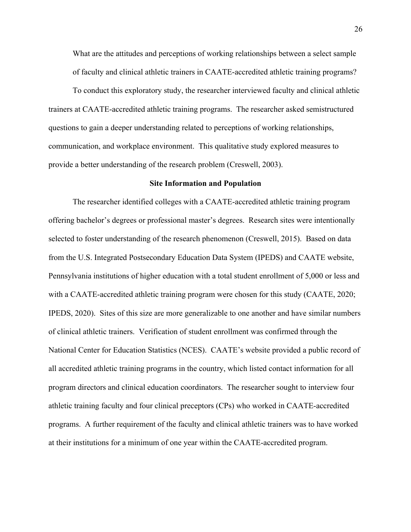What are the attitudes and perceptions of working relationships between a select sample of faculty and clinical athletic trainers in CAATE-accredited athletic training programs?

To conduct this exploratory study, the researcher interviewed faculty and clinical athletic trainers at CAATE-accredited athletic training programs. The researcher asked semistructured questions to gain a deeper understanding related to perceptions of working relationships, communication, and workplace environment. This qualitative study explored measures to provide a better understanding of the research problem (Creswell, 2003).

#### **Site Information and Population**

The researcher identified colleges with a CAATE-accredited athletic training program offering bachelor's degrees or professional master's degrees. Research sites were intentionally selected to foster understanding of the research phenomenon (Creswell, 2015). Based on data from the U.S. Integrated Postsecondary Education Data System (IPEDS) and CAATE website, Pennsylvania institutions of higher education with a total student enrollment of 5,000 or less and with a CAATE-accredited athletic training program were chosen for this study (CAATE, 2020; IPEDS, 2020). Sites of this size are more generalizable to one another and have similar numbers of clinical athletic trainers. Verification of student enrollment was confirmed through the National Center for Education Statistics (NCES). CAATE's website provided a public record of all accredited athletic training programs in the country, which listed contact information for all program directors and clinical education coordinators. The researcher sought to interview four athletic training faculty and four clinical preceptors (CPs) who worked in CAATE-accredited programs. A further requirement of the faculty and clinical athletic trainers was to have worked at their institutions for a minimum of one year within the CAATE-accredited program.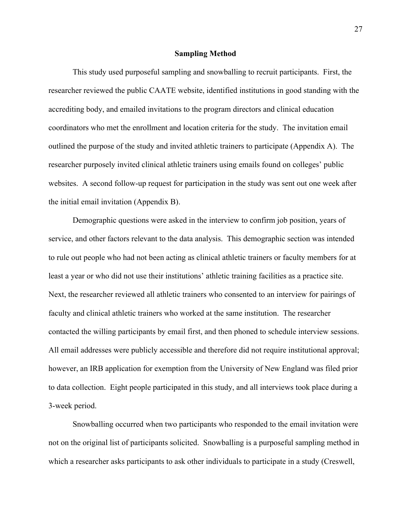#### **Sampling Method**

This study used purposeful sampling and snowballing to recruit participants. First, the researcher reviewed the public CAATE website, identified institutions in good standing with the accrediting body, and emailed invitations to the program directors and clinical education coordinators who met the enrollment and location criteria for the study. The invitation email outlined the purpose of the study and invited athletic trainers to participate (Appendix A). The researcher purposely invited clinical athletic trainers using emails found on colleges' public websites. A second follow-up request for participation in the study was sent out one week after the initial email invitation (Appendix B).

Demographic questions were asked in the interview to confirm job position, years of service, and other factors relevant to the data analysis. This demographic section was intended to rule out people who had not been acting as clinical athletic trainers or faculty members for at least a year or who did not use their institutions' athletic training facilities as a practice site. Next, the researcher reviewed all athletic trainers who consented to an interview for pairings of faculty and clinical athletic trainers who worked at the same institution. The researcher contacted the willing participants by email first, and then phoned to schedule interview sessions. All email addresses were publicly accessible and therefore did not require institutional approval; however, an IRB application for exemption from the University of New England was filed prior to data collection. Eight people participated in this study, and all interviews took place during a 3-week period.

Snowballing occurred when two participants who responded to the email invitation were not on the original list of participants solicited. Snowballing is a purposeful sampling method in which a researcher asks participants to ask other individuals to participate in a study (Creswell,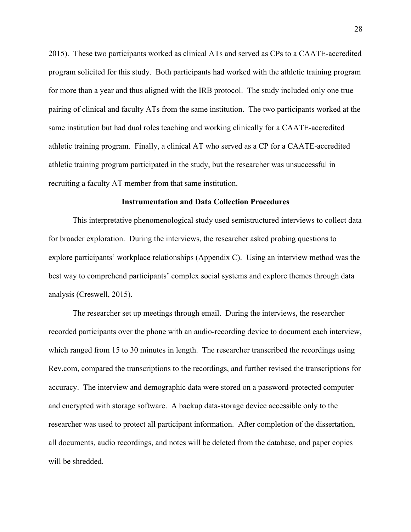2015). These two participants worked as clinical ATs and served as CPs to a CAATE-accredited program solicited for this study. Both participants had worked with the athletic training program for more than a year and thus aligned with the IRB protocol. The study included only one true pairing of clinical and faculty ATs from the same institution. The two participants worked at the same institution but had dual roles teaching and working clinically for a CAATE-accredited athletic training program. Finally, a clinical AT who served as a CP for a CAATE-accredited athletic training program participated in the study, but the researcher was unsuccessful in recruiting a faculty AT member from that same institution.

#### **Instrumentation and Data Collection Procedures**

This interpretative phenomenological study used semistructured interviews to collect data for broader exploration. During the interviews, the researcher asked probing questions to explore participants' workplace relationships (Appendix C). Using an interview method was the best way to comprehend participants' complex social systems and explore themes through data analysis (Creswell, 2015).

The researcher set up meetings through email. During the interviews, the researcher recorded participants over the phone with an audio-recording device to document each interview, which ranged from 15 to 30 minutes in length. The researcher transcribed the recordings using Rev.com, compared the transcriptions to the recordings, and further revised the transcriptions for accuracy. The interview and demographic data were stored on a password-protected computer and encrypted with storage software. A backup data-storage device accessible only to the researcher was used to protect all participant information. After completion of the dissertation, all documents, audio recordings, and notes will be deleted from the database, and paper copies will be shredded.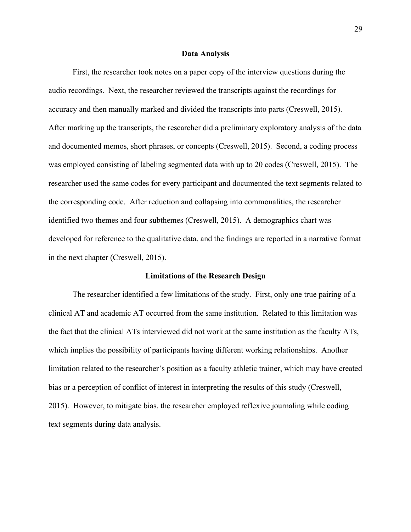#### **Data Analysis**

First, the researcher took notes on a paper copy of the interview questions during the audio recordings. Next, the researcher reviewed the transcripts against the recordings for accuracy and then manually marked and divided the transcripts into parts (Creswell, 2015). After marking up the transcripts, the researcher did a preliminary exploratory analysis of the data and documented memos, short phrases, or concepts (Creswell, 2015). Second, a coding process was employed consisting of labeling segmented data with up to 20 codes (Creswell, 2015). The researcher used the same codes for every participant and documented the text segments related to the corresponding code. After reduction and collapsing into commonalities, the researcher identified two themes and four subthemes (Creswell, 2015). A demographics chart was developed for reference to the qualitative data, and the findings are reported in a narrative format in the next chapter (Creswell, 2015).

#### **Limitations of the Research Design**

The researcher identified a few limitations of the study. First, only one true pairing of a clinical AT and academic AT occurred from the same institution. Related to this limitation was the fact that the clinical ATs interviewed did not work at the same institution as the faculty ATs, which implies the possibility of participants having different working relationships. Another limitation related to the researcher's position as a faculty athletic trainer, which may have created bias or a perception of conflict of interest in interpreting the results of this study (Creswell, 2015). However, to mitigate bias, the researcher employed reflexive journaling while coding text segments during data analysis.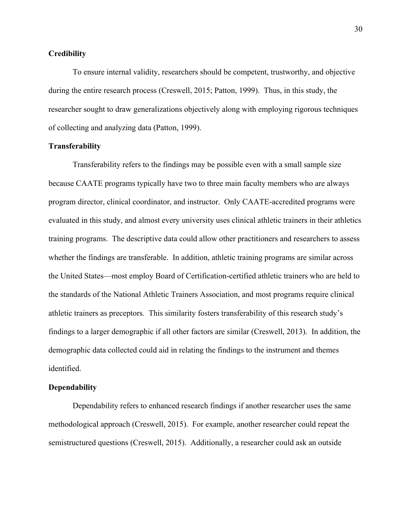# **Credibility**

To ensure internal validity, researchers should be competent, trustworthy, and objective during the entire research process (Creswell, 2015; Patton, 1999). Thus, in this study, the researcher sought to draw generalizations objectively along with employing rigorous techniques of collecting and analyzing data (Patton, 1999).

# **Transferability**

Transferability refers to the findings may be possible even with a small sample size because CAATE programs typically have two to three main faculty members who are always program director, clinical coordinator, and instructor. Only CAATE-accredited programs were evaluated in this study, and almost every university uses clinical athletic trainers in their athletics training programs. The descriptive data could allow other practitioners and researchers to assess whether the findings are transferable. In addition, athletic training programs are similar across the United States—most employ Board of Certification-certified athletic trainers who are held to the standards of the National Athletic Trainers Association, and most programs require clinical athletic trainers as preceptors. This similarity fosters transferability of this research study's findings to a larger demographic if all other factors are similar (Creswell, 2013). In addition, the demographic data collected could aid in relating the findings to the instrument and themes identified.

# **Dependability**

Dependability refers to enhanced research findings if another researcher uses the same methodological approach (Creswell, 2015). For example, another researcher could repeat the semistructured questions (Creswell, 2015). Additionally, a researcher could ask an outside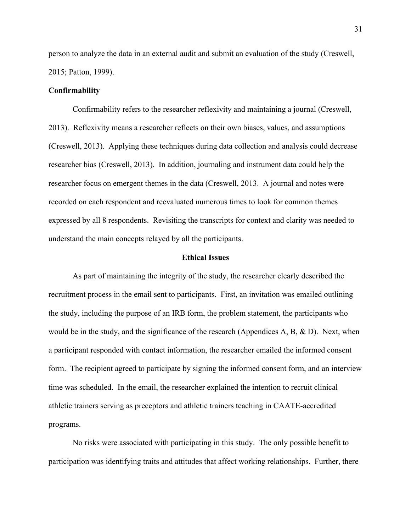person to analyze the data in an external audit and submit an evaluation of the study (Creswell, 2015; Patton, 1999).

# **Confirmability**

Confirmability refers to the researcher reflexivity and maintaining a journal (Creswell, 2013). Reflexivity means a researcher reflects on their own biases, values, and assumptions (Creswell, 2013). Applying these techniques during data collection and analysis could decrease researcher bias (Creswell, 2013). In addition, journaling and instrument data could help the researcher focus on emergent themes in the data (Creswell, 2013. A journal and notes were recorded on each respondent and reevaluated numerous times to look for common themes expressed by all 8 respondents. Revisiting the transcripts for context and clarity was needed to understand the main concepts relayed by all the participants.

# **Ethical Issues**

As part of maintaining the integrity of the study, the researcher clearly described the recruitment process in the email sent to participants. First, an invitation was emailed outlining the study, including the purpose of an IRB form, the problem statement, the participants who would be in the study, and the significance of the research (Appendices A, B, & D). Next, when a participant responded with contact information, the researcher emailed the informed consent form. The recipient agreed to participate by signing the informed consent form, and an interview time was scheduled. In the email, the researcher explained the intention to recruit clinical athletic trainers serving as preceptors and athletic trainers teaching in CAATE-accredited programs.

No risks were associated with participating in this study. The only possible benefit to participation was identifying traits and attitudes that affect working relationships. Further, there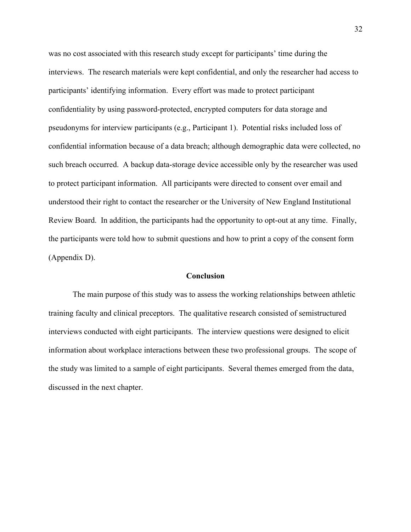was no cost associated with this research study except for participants' time during the interviews. The research materials were kept confidential, and only the researcher had access to participants' identifying information. Every effort was made to protect participant confidentiality by using password-protected, encrypted computers for data storage and pseudonyms for interview participants (e.g., Participant 1). Potential risks included loss of confidential information because of a data breach; although demographic data were collected, no such breach occurred. A backup data-storage device accessible only by the researcher was used to protect participant information. All participants were directed to consent over email and understood their right to contact the researcher or the University of New England Institutional Review Board. In addition, the participants had the opportunity to opt-out at any time. Finally, the participants were told how to submit questions and how to print a copy of the consent form (Appendix D).

#### **Conclusion**

The main purpose of this study was to assess the working relationships between athletic training faculty and clinical preceptors. The qualitative research consisted of semistructured interviews conducted with eight participants. The interview questions were designed to elicit information about workplace interactions between these two professional groups. The scope of the study was limited to a sample of eight participants. Several themes emerged from the data, discussed in the next chapter.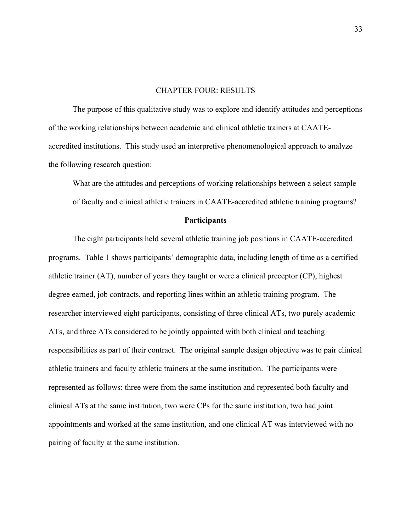# CHAPTER FOUR: RESULTS

The purpose of this qualitative study was to explore and identify attitudes and perceptions of the working relationships between academic and clinical athletic trainers at CAATEaccredited institutions. This study used an interpretive phenomenological approach to analyze the following research question:

What are the attitudes and perceptions of working relationships between a select sample of faculty and clinical athletic trainers in CAATE-accredited athletic training programs?

## **Participants**

The eight participants held several athletic training job positions in CAATE-accredited programs. Table 1 shows participants' demographic data, including length of time as a certified athletic trainer (AT), number of years they taught or were a clinical preceptor (CP), highest degree earned, job contracts, and reporting lines within an athletic training program. The researcher interviewed eight participants, consisting of three clinical ATs, two purely academic ATs, and three ATs considered to be jointly appointed with both clinical and teaching responsibilities as part of their contract. The original sample design objective was to pair clinical athletic trainers and faculty athletic trainers at the same institution. The participants were represented as follows: three were from the same institution and represented both faculty and clinical ATs at the same institution, two were CPs for the same institution, two had joint appointments and worked at the same institution, and one clinical AT was interviewed with no pairing of faculty at the same institution.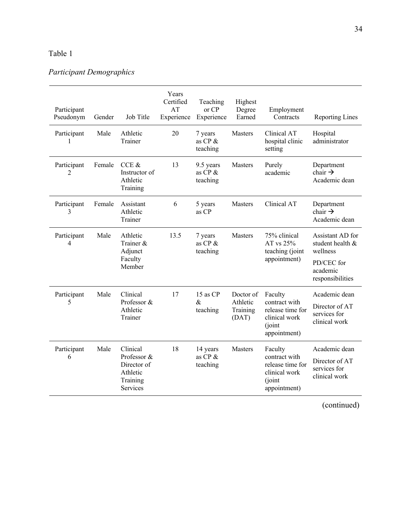# Table 1.

# *Participant Demographics*

| Participant<br>Pseudonym | Gender | Job Title                                                                  | Years<br>Certified<br>AT<br>Experience | Teaching<br>or CP<br>Experience      | Highest<br>Degree<br>Earned                | Employment<br>Contracts                                                                  | <b>Reporting Lines</b>                                                                         |
|--------------------------|--------|----------------------------------------------------------------------------|----------------------------------------|--------------------------------------|--------------------------------------------|------------------------------------------------------------------------------------------|------------------------------------------------------------------------------------------------|
| Participant<br>1         | Male   | Athletic<br>Trainer                                                        | 20                                     | 7 years<br>as $CP$ $\&$<br>teaching  | Masters                                    | Clinical AT<br>hospital clinic<br>setting                                                | Hospital<br>administrator                                                                      |
| Participant<br>2         | Female | CCE &<br>Instructor of<br>Athletic<br>Training                             | 13                                     | 9.5 years<br>as CP &<br>teaching     | Masters                                    | Purely<br>academic                                                                       | Department<br>chair $\rightarrow$<br>Academic dean                                             |
| Participant<br>3         | Female | Assistant<br>Athletic<br>Trainer                                           | 6                                      | 5 years<br>as CP                     | <b>Masters</b>                             | Clinical AT                                                                              | Department<br>chair $\rightarrow$<br>Academic dean                                             |
| Participant<br>4         | Male   | Athletic<br>Trainer &<br>Adjunct<br>Faculty<br>Member                      | 13.5                                   | 7 years<br>as $CP$ &<br>teaching     | Masters                                    | 75% clinical<br>AT vs 25%<br>teaching (joint<br>appointment)                             | Assistant AD for<br>student health &<br>wellness<br>PD/CEC for<br>academic<br>responsibilities |
| Participant<br>5         | Male   | Clinical<br>Professor &<br>Athletic<br>Trainer                             | 17                                     | 15 as CP<br>&<br>teaching            | Doctor of<br>Athletic<br>Training<br>(DAT) | Faculty<br>contract with<br>release time for<br>clinical work<br>(joint<br>appointment)  | Academic dean<br>Director of AT<br>services for<br>clinical work                               |
| Participant<br>6         | Male   | Clinical<br>Professor &<br>Director of<br>Athletic<br>Training<br>Services | 18                                     | 14 years<br>as $CP$ $\&$<br>teaching | Masters                                    | Faculty<br>contract with<br>release time for<br>clinical work<br>(joint)<br>appointment) | Academic dean<br>Director of AT<br>services for<br>clinical work                               |

(continued)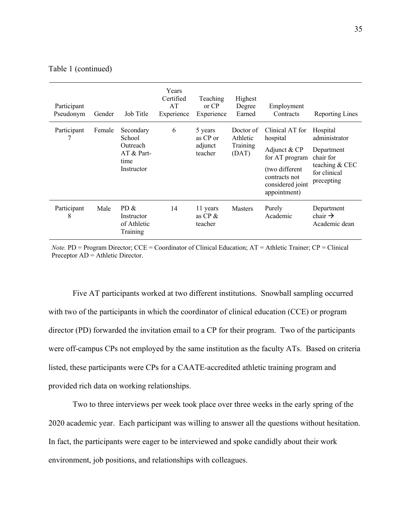| Participant<br>Pseudonym | Gender | Job Title                                                             | Years<br>Certified<br>AT<br>Experience | Teaching<br>or CP<br>Experience           | Highest<br>Degree<br>Earned                | Employment<br>Contracts                                                                                                              | Reporting Lines                                                                                      |
|--------------------------|--------|-----------------------------------------------------------------------|----------------------------------------|-------------------------------------------|--------------------------------------------|--------------------------------------------------------------------------------------------------------------------------------------|------------------------------------------------------------------------------------------------------|
| Participant              | Female | Secondary<br>School<br>Outreach<br>$AT & Part-$<br>time<br>Instructor | 6                                      | 5 years<br>as CP or<br>adjunct<br>teacher | Doctor of<br>Athletic<br>Training<br>(DAT) | Clinical AT for<br>hospital<br>Adjunct & CP<br>for AT program<br>(two different<br>contracts not<br>considered joint<br>appointment) | Hospital<br>administrator<br>Department<br>chair for<br>teaching & CEC<br>for clinical<br>precepting |
| Participant<br>8         | Male   | PD &<br>Instructor<br>of Athletic<br>Training                         | 14                                     | 11 years<br>as $CP \&$<br>teacher         | <b>Masters</b>                             | Purely<br>Academic                                                                                                                   | Department<br>chair $\rightarrow$<br>Academic dean                                                   |

#### Table 1 (continued)

*Note.* PD = Program Director; CCE = Coordinator of Clinical Education; AT = Athletic Trainer; CP = Clinical Preceptor AD = Athletic Director.

Five AT participants worked at two different institutions. Snowball sampling occurred with two of the participants in which the coordinator of clinical education (CCE) or program director (PD) forwarded the invitation email to a CP for their program. Two of the participants were off-campus CPs not employed by the same institution as the faculty ATs. Based on criteria listed, these participants were CPs for a CAATE-accredited athletic training program and provided rich data on working relationships.

Two to three interviews per week took place over three weeks in the early spring of the 2020 academic year. Each participant was willing to answer all the questions without hesitation. In fact, the participants were eager to be interviewed and spoke candidly about their work environment, job positions, and relationships with colleagues.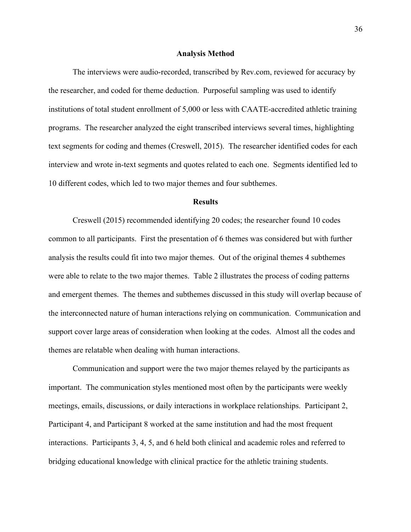#### **Analysis Method**

The interviews were audio-recorded, transcribed by Rev.com, reviewed for accuracy by the researcher, and coded for theme deduction. Purposeful sampling was used to identify institutions of total student enrollment of 5,000 or less with CAATE-accredited athletic training programs. The researcher analyzed the eight transcribed interviews several times, highlighting text segments for coding and themes (Creswell, 2015). The researcher identified codes for each interview and wrote in-text segments and quotes related to each one. Segments identified led to 10 different codes, which led to two major themes and four subthemes.

# **Results**

Creswell (2015) recommended identifying 20 codes; the researcher found 10 codes common to all participants. First the presentation of 6 themes was considered but with further analysis the results could fit into two major themes. Out of the original themes 4 subthemes were able to relate to the two major themes. Table 2 illustrates the process of coding patterns and emergent themes. The themes and subthemes discussed in this study will overlap because of the interconnected nature of human interactions relying on communication. Communication and support cover large areas of consideration when looking at the codes. Almost all the codes and themes are relatable when dealing with human interactions.

Communication and support were the two major themes relayed by the participants as important. The communication styles mentioned most often by the participants were weekly meetings, emails, discussions, or daily interactions in workplace relationships. Participant 2, Participant 4, and Participant 8 worked at the same institution and had the most frequent interactions. Participants 3, 4, 5, and 6 held both clinical and academic roles and referred to bridging educational knowledge with clinical practice for the athletic training students.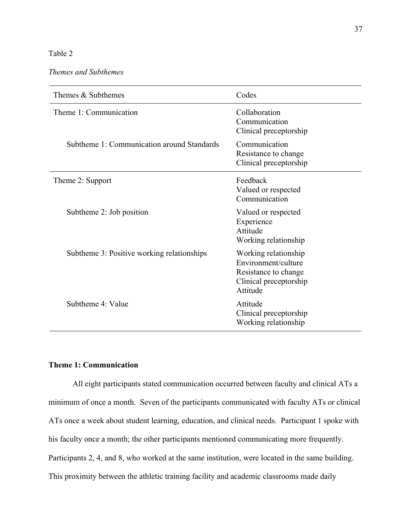# Table 2.

*Themes and Subthemes*

| Themes & Subthemes                         | Codes                                                                                                     |  |  |
|--------------------------------------------|-----------------------------------------------------------------------------------------------------------|--|--|
| Theme 1: Communication                     | Collaboration<br>Communication<br>Clinical preceptorship                                                  |  |  |
| Subtheme 1: Communication around Standards | Communication<br>Resistance to change<br>Clinical preceptorship                                           |  |  |
| Theme 2: Support                           | Feedback<br>Valued or respected<br>Communication                                                          |  |  |
| Subtheme 2: Job position                   | Valued or respected<br>Experience<br>Attitude<br>Working relationship                                     |  |  |
| Subtheme 3: Positive working relationships | Working relationship<br>Environment/culture<br>Resistance to change<br>Clinical preceptorship<br>Attitude |  |  |
| Subtheme 4: Value                          | Attitude<br>Clinical preceptorship<br>Working relationship                                                |  |  |

# **Theme 1: Communication**

All eight participants stated communication occurred between faculty and clinical ATs a minimum of once a month. Seven of the participants communicated with faculty ATs or clinical ATs once a week about student learning, education, and clinical needs. Participant 1 spoke with his faculty once a month; the other participants mentioned communicating more frequently. Participants 2, 4, and 8, who worked at the same institution, were located in the same building. This proximity between the athletic training facility and academic classrooms made daily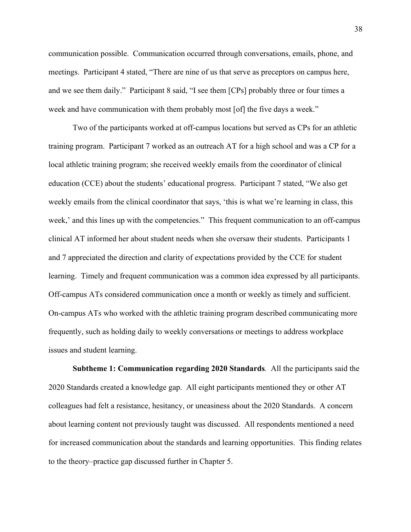communication possible. Communication occurred through conversations, emails, phone, and meetings. Participant 4 stated, "There are nine of us that serve as preceptors on campus here, and we see them daily." Participant 8 said, "I see them [CPs] probably three or four times a week and have communication with them probably most [of] the five days a week."

Two of the participants worked at off-campus locations but served as CPs for an athletic training program. Participant 7 worked as an outreach AT for a high school and was a CP for a local athletic training program; she received weekly emails from the coordinator of clinical education (CCE) about the students' educational progress. Participant 7 stated, "We also get weekly emails from the clinical coordinator that says, 'this is what we're learning in class, this week,' and this lines up with the competencies." This frequent communication to an off-campus clinical AT informed her about student needs when she oversaw their students. Participants 1 and 7 appreciated the direction and clarity of expectations provided by the CCE for student learning. Timely and frequent communication was a common idea expressed by all participants. Off-campus ATs considered communication once a month or weekly as timely and sufficient. On-campus ATs who worked with the athletic training program described communicating more frequently, such as holding daily to weekly conversations or meetings to address workplace issues and student learning.

**Subtheme 1: Communication regarding 2020 Standards***.* All the participants said the 2020 Standards created a knowledge gap. All eight participants mentioned they or other AT colleagues had felt a resistance, hesitancy, or uneasiness about the 2020 Standards. A concern about learning content not previously taught was discussed. All respondents mentioned a need for increased communication about the standards and learning opportunities. This finding relates to the theory–practice gap discussed further in Chapter 5.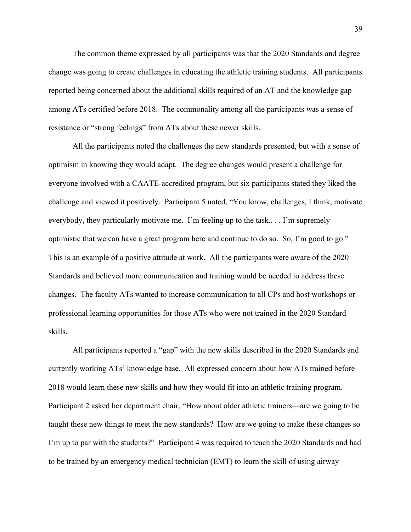The common theme expressed by all participants was that the 2020 Standards and degree change was going to create challenges in educating the athletic training students. All participants reported being concerned about the additional skills required of an AT and the knowledge gap among ATs certified before 2018. The commonality among all the participants was a sense of resistance or "strong feelings" from ATs about these newer skills.

All the participants noted the challenges the new standards presented, but with a sense of optimism in knowing they would adapt. The degree changes would present a challenge for everyone involved with a CAATE-accredited program, but six participants stated they liked the challenge and viewed it positively. Participant 5 noted, "You know, challenges, I think, motivate everybody, they particularly motivate me. I'm feeling up to the task.. . . I'm supremely optimistic that we can have a great program here and continue to do so. So, I'm good to go." This is an example of a positive attitude at work. All the participants were aware of the 2020 Standards and believed more communication and training would be needed to address these changes. The faculty ATs wanted to increase communication to all CPs and host workshops or professional learning opportunities for those ATs who were not trained in the 2020 Standard skills.

All participants reported a "gap" with the new skills described in the 2020 Standards and currently working ATs' knowledge base. All expressed concern about how ATs trained before 2018 would learn these new skills and how they would fit into an athletic training program. Participant 2 asked her department chair, "How about older athletic trainers—are we going to be taught these new things to meet the new standards? How are we going to make these changes so I'm up to par with the students?" Participant 4 was required to teach the 2020 Standards and had to be trained by an emergency medical technician (EMT) to learn the skill of using airway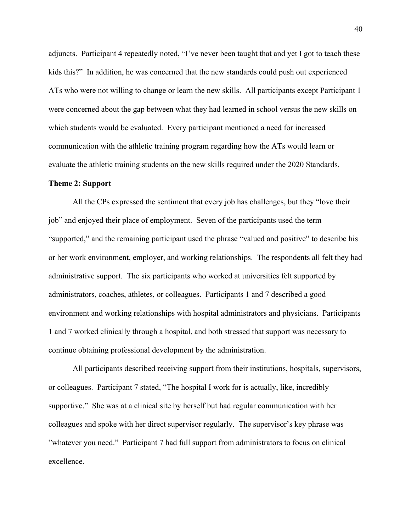adjuncts. Participant 4 repeatedly noted, "I've never been taught that and yet I got to teach these kids this?" In addition, he was concerned that the new standards could push out experienced ATs who were not willing to change or learn the new skills. All participants except Participant 1 were concerned about the gap between what they had learned in school versus the new skills on which students would be evaluated. Every participant mentioned a need for increased communication with the athletic training program regarding how the ATs would learn or evaluate the athletic training students on the new skills required under the 2020 Standards.

#### **Theme 2: Support**

All the CPs expressed the sentiment that every job has challenges, but they "love their job" and enjoyed their place of employment. Seven of the participants used the term "supported," and the remaining participant used the phrase "valued and positive" to describe his or her work environment, employer, and working relationships. The respondents all felt they had administrative support. The six participants who worked at universities felt supported by administrators, coaches, athletes, or colleagues. Participants 1 and 7 described a good environment and working relationships with hospital administrators and physicians. Participants 1 and 7 worked clinically through a hospital, and both stressed that support was necessary to continue obtaining professional development by the administration.

All participants described receiving support from their institutions, hospitals, supervisors, or colleagues. Participant 7 stated, "The hospital I work for is actually, like, incredibly supportive." She was at a clinical site by herself but had regular communication with her colleagues and spoke with her direct supervisor regularly. The supervisor's key phrase was "whatever you need." Participant 7 had full support from administrators to focus on clinical excellence.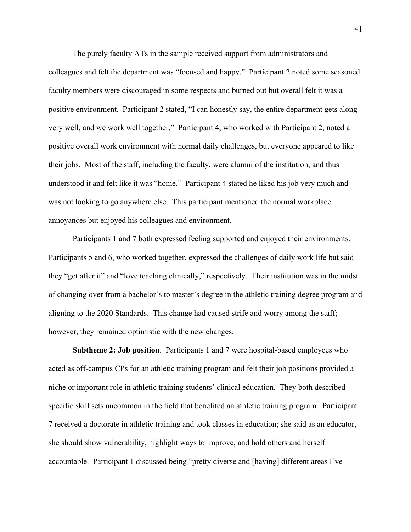The purely faculty ATs in the sample received support from administrators and colleagues and felt the department was "focused and happy." Participant 2 noted some seasoned faculty members were discouraged in some respects and burned out but overall felt it was a positive environment. Participant 2 stated, "I can honestly say, the entire department gets along very well, and we work well together." Participant 4, who worked with Participant 2, noted a positive overall work environment with normal daily challenges, but everyone appeared to like their jobs. Most of the staff, including the faculty, were alumni of the institution, and thus understood it and felt like it was "home." Participant 4 stated he liked his job very much and was not looking to go anywhere else. This participant mentioned the normal workplace annoyances but enjoyed his colleagues and environment.

Participants 1 and 7 both expressed feeling supported and enjoyed their environments. Participants 5 and 6, who worked together, expressed the challenges of daily work life but said they "get after it" and "love teaching clinically," respectively. Their institution was in the midst of changing over from a bachelor's to master's degree in the athletic training degree program and aligning to the 2020 Standards. This change had caused strife and worry among the staff; however, they remained optimistic with the new changes.

**Subtheme 2: Job position**. Participants 1 and 7 were hospital-based employees who acted as off-campus CPs for an athletic training program and felt their job positions provided a niche or important role in athletic training students' clinical education. They both described specific skill sets uncommon in the field that benefited an athletic training program. Participant 7 received a doctorate in athletic training and took classes in education; she said as an educator, she should show vulnerability, highlight ways to improve, and hold others and herself accountable. Participant 1 discussed being "pretty diverse and [having] different areas I've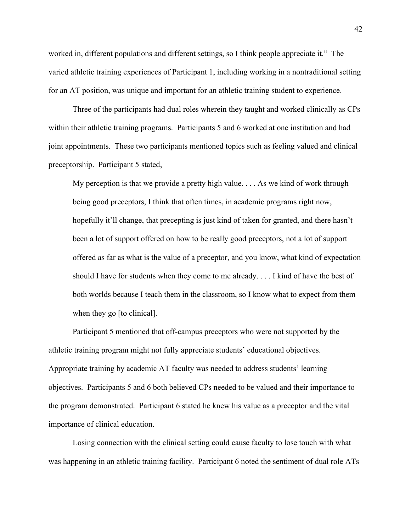worked in, different populations and different settings, so I think people appreciate it." The varied athletic training experiences of Participant 1, including working in a nontraditional setting for an AT position, was unique and important for an athletic training student to experience.

Three of the participants had dual roles wherein they taught and worked clinically as CPs within their athletic training programs. Participants 5 and 6 worked at one institution and had joint appointments. These two participants mentioned topics such as feeling valued and clinical preceptorship. Participant 5 stated,

My perception is that we provide a pretty high value. . . . As we kind of work through being good preceptors, I think that often times, in academic programs right now, hopefully it'll change, that precepting is just kind of taken for granted, and there hasn't been a lot of support offered on how to be really good preceptors, not a lot of support offered as far as what is the value of a preceptor, and you know, what kind of expectation should I have for students when they come to me already. . . . I kind of have the best of both worlds because I teach them in the classroom, so I know what to expect from them when they go [to clinical].

Participant 5 mentioned that off-campus preceptors who were not supported by the athletic training program might not fully appreciate students' educational objectives. Appropriate training by academic AT faculty was needed to address students' learning objectives. Participants 5 and 6 both believed CPs needed to be valued and their importance to the program demonstrated. Participant 6 stated he knew his value as a preceptor and the vital importance of clinical education.

Losing connection with the clinical setting could cause faculty to lose touch with what was happening in an athletic training facility. Participant 6 noted the sentiment of dual role ATs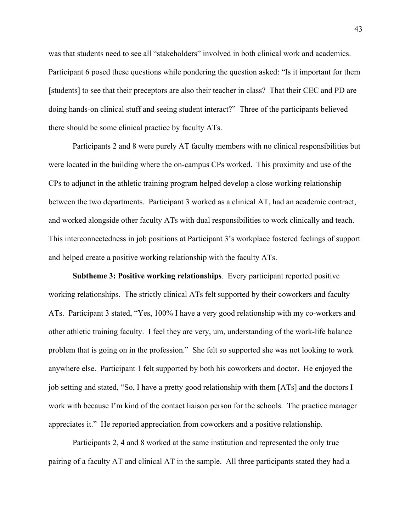was that students need to see all "stakeholders" involved in both clinical work and academics. Participant 6 posed these questions while pondering the question asked: "Is it important for them [students] to see that their preceptors are also their teacher in class? That their CEC and PD are doing hands-on clinical stuff and seeing student interact?" Three of the participants believed there should be some clinical practice by faculty ATs.

Participants 2 and 8 were purely AT faculty members with no clinical responsibilities but were located in the building where the on-campus CPs worked. This proximity and use of the CPs to adjunct in the athletic training program helped develop a close working relationship between the two departments. Participant 3 worked as a clinical AT, had an academic contract, and worked alongside other faculty ATs with dual responsibilities to work clinically and teach. This interconnectedness in job positions at Participant 3's workplace fostered feelings of support and helped create a positive working relationship with the faculty ATs.

**Subtheme 3: Positive working relationships**. Every participant reported positive working relationships. The strictly clinical ATs felt supported by their coworkers and faculty ATs. Participant 3 stated, "Yes, 100% I have a very good relationship with my co-workers and other athletic training faculty. I feel they are very, um, understanding of the work-life balance problem that is going on in the profession." She felt so supported she was not looking to work anywhere else. Participant 1 felt supported by both his coworkers and doctor. He enjoyed the job setting and stated, "So, I have a pretty good relationship with them [ATs] and the doctors I work with because I'm kind of the contact liaison person for the schools. The practice manager appreciates it." He reported appreciation from coworkers and a positive relationship.

Participants 2, 4 and 8 worked at the same institution and represented the only true pairing of a faculty AT and clinical AT in the sample. All three participants stated they had a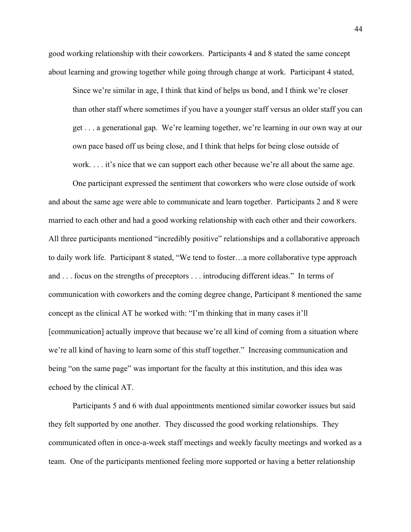good working relationship with their coworkers. Participants 4 and 8 stated the same concept about learning and growing together while going through change at work. Participant 4 stated,

Since we're similar in age, I think that kind of helps us bond, and I think we're closer than other staff where sometimes if you have a younger staff versus an older staff you can get . . . a generational gap. We're learning together, we're learning in our own way at our own pace based off us being close, and I think that helps for being close outside of work. . . . it's nice that we can support each other because we're all about the same age.

One participant expressed the sentiment that coworkers who were close outside of work and about the same age were able to communicate and learn together. Participants 2 and 8 were married to each other and had a good working relationship with each other and their coworkers. All three participants mentioned "incredibly positive" relationships and a collaborative approach to daily work life. Participant 8 stated, "We tend to foster…a more collaborative type approach and . . . focus on the strengths of preceptors . . . introducing different ideas." In terms of communication with coworkers and the coming degree change, Participant 8 mentioned the same concept as the clinical AT he worked with: "I'm thinking that in many cases it'll [communication] actually improve that because we're all kind of coming from a situation where we're all kind of having to learn some of this stuff together." Increasing communication and being "on the same page" was important for the faculty at this institution, and this idea was echoed by the clinical AT.

Participants 5 and 6 with dual appointments mentioned similar coworker issues but said they felt supported by one another. They discussed the good working relationships. They communicated often in once-a-week staff meetings and weekly faculty meetings and worked as a team. One of the participants mentioned feeling more supported or having a better relationship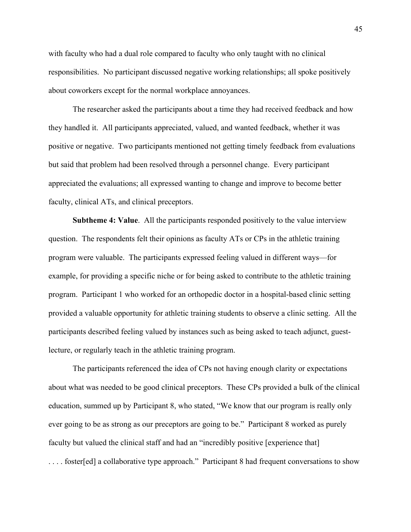with faculty who had a dual role compared to faculty who only taught with no clinical responsibilities. No participant discussed negative working relationships; all spoke positively about coworkers except for the normal workplace annoyances.

The researcher asked the participants about a time they had received feedback and how they handled it. All participants appreciated, valued, and wanted feedback, whether it was positive or negative. Two participants mentioned not getting timely feedback from evaluations but said that problem had been resolved through a personnel change. Every participant appreciated the evaluations; all expressed wanting to change and improve to become better faculty, clinical ATs, and clinical preceptors.

**Subtheme 4: Value**. All the participants responded positively to the value interview question. The respondents felt their opinions as faculty ATs or CPs in the athletic training program were valuable. The participants expressed feeling valued in different ways—for example, for providing a specific niche or for being asked to contribute to the athletic training program. Participant 1 who worked for an orthopedic doctor in a hospital-based clinic setting provided a valuable opportunity for athletic training students to observe a clinic setting. All the participants described feeling valued by instances such as being asked to teach adjunct, guestlecture, or regularly teach in the athletic training program.

The participants referenced the idea of CPs not having enough clarity or expectations about what was needed to be good clinical preceptors. These CPs provided a bulk of the clinical education, summed up by Participant 8, who stated, "We know that our program is really only ever going to be as strong as our preceptors are going to be." Participant 8 worked as purely faculty but valued the clinical staff and had an "incredibly positive [experience that] .... foster[ed] a collaborative type approach." Participant 8 had frequent conversations to show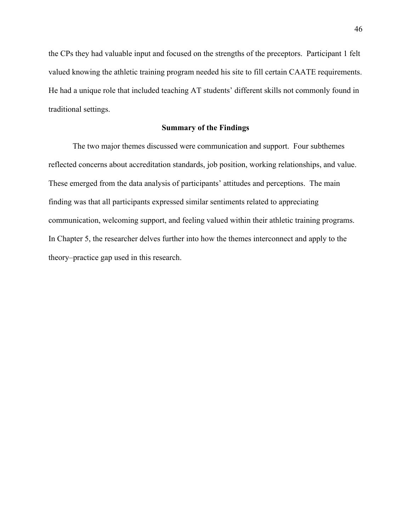the CPs they had valuable input and focused on the strengths of the preceptors. Participant 1 felt valued knowing the athletic training program needed his site to fill certain CAATE requirements. He had a unique role that included teaching AT students' different skills not commonly found in traditional settings.

# **Summary of the Findings**

The two major themes discussed were communication and support. Four subthemes reflected concerns about accreditation standards, job position, working relationships, and value. These emerged from the data analysis of participants' attitudes and perceptions. The main finding was that all participants expressed similar sentiments related to appreciating communication, welcoming support, and feeling valued within their athletic training programs. In Chapter 5, the researcher delves further into how the themes interconnect and apply to the theory–practice gap used in this research.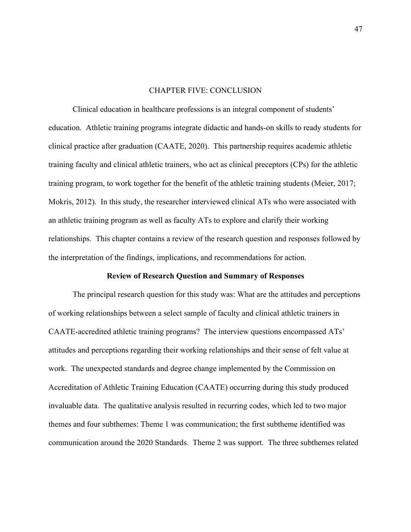#### CHAPTER FIVE: CONCLUSION

Clinical education in healthcare professions is an integral component of students' education. Athletic training programs integrate didactic and hands-on skills to ready students for clinical practice after graduation (CAATE, 2020). This partnership requires academic athletic training faculty and clinical athletic trainers, who act as clinical preceptors (CPs) for the athletic training program, to work together for the benefit of the athletic training students (Meier, 2017; Mokris, 2012). In this study, the researcher interviewed clinical ATs who were associated with an athletic training program as well as faculty ATs to explore and clarify their working relationships. This chapter contains a review of the research question and responses followed by the interpretation of the findings, implications, and recommendations for action.

# **Review of Research Question and Summary of Responses**

The principal research question for this study was: What are the attitudes and perceptions of working relationships between a select sample of faculty and clinical athletic trainers in CAATE-accredited athletic training programs? The interview questions encompassed ATs' attitudes and perceptions regarding their working relationships and their sense of felt value at work. The unexpected standards and degree change implemented by the Commission on Accreditation of Athletic Training Education (CAATE) occurring during this study produced invaluable data. The qualitative analysis resulted in recurring codes, which led to two major themes and four subthemes: Theme 1 was communication; the first subtheme identified was communication around the 2020 Standards. Theme 2 was support. The three subthemes related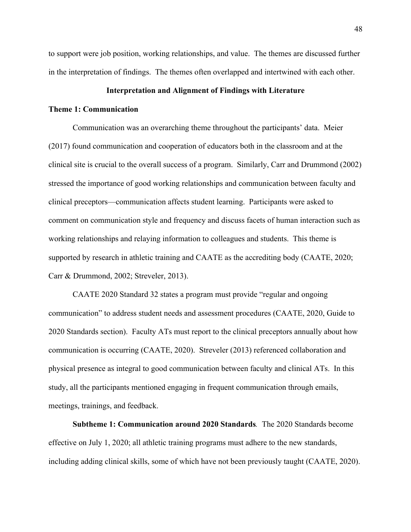to support were job position, working relationships, and value. The themes are discussed further in the interpretation of findings. The themes often overlapped and intertwined with each other.

# **Interpretation and Alignment of Findings with Literature**

# **Theme 1: Communication**

Communication was an overarching theme throughout the participants' data. Meier (2017) found communication and cooperation of educators both in the classroom and at the clinical site is crucial to the overall success of a program. Similarly, Carr and Drummond (2002) stressed the importance of good working relationships and communication between faculty and clinical preceptors—communication affects student learning. Participants were asked to comment on communication style and frequency and discuss facets of human interaction such as working relationships and relaying information to colleagues and students. This theme is supported by research in athletic training and CAATE as the accrediting body (CAATE, 2020; Carr & Drummond, 2002; Streveler, 2013).

CAATE 2020 Standard 32 states a program must provide "regular and ongoing communication" to address student needs and assessment procedures (CAATE, 2020, Guide to 2020 Standards section). Faculty ATs must report to the clinical preceptors annually about how communication is occurring (CAATE, 2020). Streveler (2013) referenced collaboration and physical presence as integral to good communication between faculty and clinical ATs. In this study, all the participants mentioned engaging in frequent communication through emails, meetings, trainings, and feedback.

**Subtheme 1: Communication around 2020 Standards***.* The 2020 Standards become effective on July 1, 2020; all athletic training programs must adhere to the new standards, including adding clinical skills, some of which have not been previously taught (CAATE, 2020).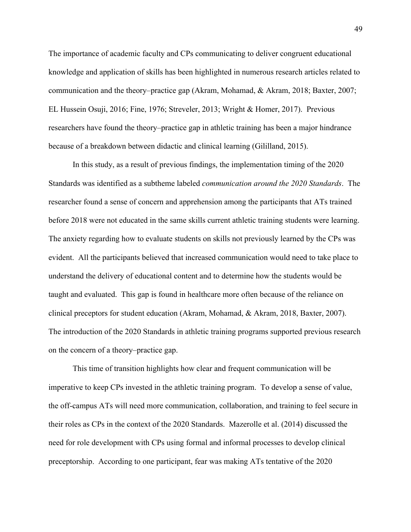The importance of academic faculty and CPs communicating to deliver congruent educational knowledge and application of skills has been highlighted in numerous research articles related to communication and the theory–practice gap (Akram, Mohamad, & Akram, 2018; Baxter, 2007; EL Hussein Osuji, 2016; Fine, 1976; Streveler, 2013; Wright & Homer, 2017). Previous researchers have found the theory–practice gap in athletic training has been a major hindrance because of a breakdown between didactic and clinical learning (Gililland, 2015).

In this study, as a result of previous findings, the implementation timing of the 2020 Standards was identified as a subtheme labeled *communication around the 2020 Standards*. The researcher found a sense of concern and apprehension among the participants that ATs trained before 2018 were not educated in the same skills current athletic training students were learning. The anxiety regarding how to evaluate students on skills not previously learned by the CPs was evident. All the participants believed that increased communication would need to take place to understand the delivery of educational content and to determine how the students would be taught and evaluated. This gap is found in healthcare more often because of the reliance on clinical preceptors for student education (Akram, Mohamad, & Akram, 2018, Baxter, 2007). The introduction of the 2020 Standards in athletic training programs supported previous research on the concern of a theory–practice gap.

This time of transition highlights how clear and frequent communication will be imperative to keep CPs invested in the athletic training program. To develop a sense of value, the off-campus ATs will need more communication, collaboration, and training to feel secure in their roles as CPs in the context of the 2020 Standards. Mazerolle et al. (2014) discussed the need for role development with CPs using formal and informal processes to develop clinical preceptorship. According to one participant, fear was making ATs tentative of the 2020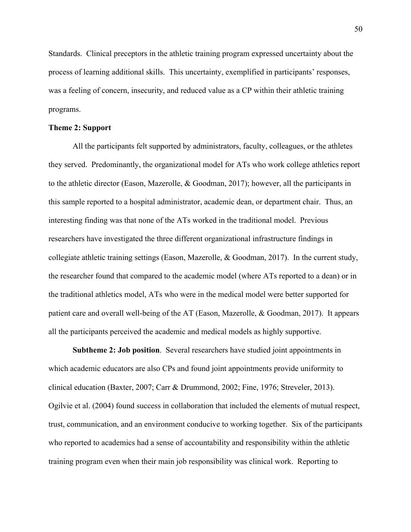Standards. Clinical preceptors in the athletic training program expressed uncertainty about the process of learning additional skills. This uncertainty, exemplified in participants' responses, was a feeling of concern, insecurity, and reduced value as a CP within their athletic training programs.

# **Theme 2: Support**

All the participants felt supported by administrators, faculty, colleagues, or the athletes they served. Predominantly, the organizational model for ATs who work college athletics report to the athletic director (Eason, Mazerolle, & Goodman, 2017); however, all the participants in this sample reported to a hospital administrator, academic dean, or department chair. Thus, an interesting finding was that none of the ATs worked in the traditional model. Previous researchers have investigated the three different organizational infrastructure findings in collegiate athletic training settings (Eason, Mazerolle, & Goodman, 2017). In the current study, the researcher found that compared to the academic model (where ATs reported to a dean) or in the traditional athletics model, ATs who were in the medical model were better supported for patient care and overall well-being of the AT (Eason, Mazerolle, & Goodman, 2017). It appears all the participants perceived the academic and medical models as highly supportive.

**Subtheme 2: Job position**. Several researchers have studied joint appointments in which academic educators are also CPs and found joint appointments provide uniformity to clinical education (Baxter, 2007; Carr & Drummond, 2002; Fine, 1976; Streveler, 2013). Ogilvie et al. (2004) found success in collaboration that included the elements of mutual respect, trust, communication, and an environment conducive to working together. Six of the participants who reported to academics had a sense of accountability and responsibility within the athletic training program even when their main job responsibility was clinical work. Reporting to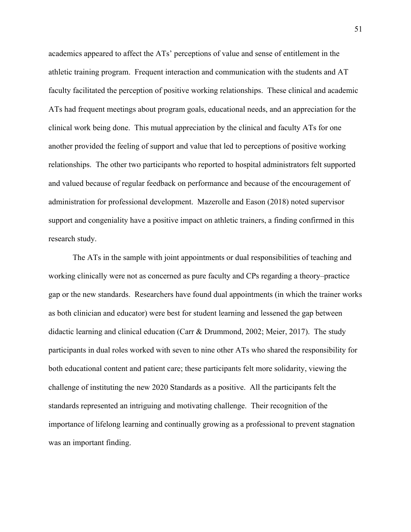academics appeared to affect the ATs' perceptions of value and sense of entitlement in the athletic training program. Frequent interaction and communication with the students and AT faculty facilitated the perception of positive working relationships. These clinical and academic ATs had frequent meetings about program goals, educational needs, and an appreciation for the clinical work being done. This mutual appreciation by the clinical and faculty ATs for one another provided the feeling of support and value that led to perceptions of positive working relationships. The other two participants who reported to hospital administrators felt supported and valued because of regular feedback on performance and because of the encouragement of administration for professional development. Mazerolle and Eason (2018) noted supervisor support and congeniality have a positive impact on athletic trainers, a finding confirmed in this research study.

The ATs in the sample with joint appointments or dual responsibilities of teaching and working clinically were not as concerned as pure faculty and CPs regarding a theory–practice gap or the new standards. Researchers have found dual appointments (in which the trainer works as both clinician and educator) were best for student learning and lessened the gap between didactic learning and clinical education (Carr & Drummond, 2002; Meier, 2017). The study participants in dual roles worked with seven to nine other ATs who shared the responsibility for both educational content and patient care; these participants felt more solidarity, viewing the challenge of instituting the new 2020 Standards as a positive. All the participants felt the standards represented an intriguing and motivating challenge. Their recognition of the importance of lifelong learning and continually growing as a professional to prevent stagnation was an important finding.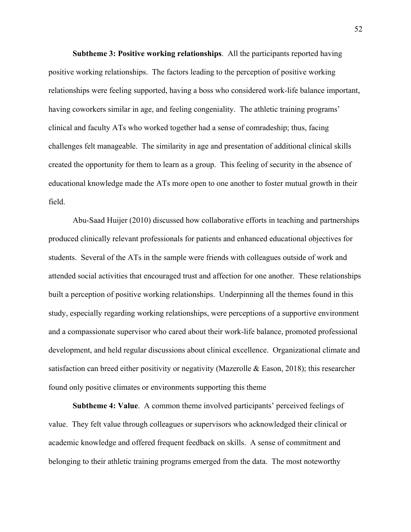**Subtheme 3: Positive working relationships**. All the participants reported having positive working relationships. The factors leading to the perception of positive working relationships were feeling supported, having a boss who considered work-life balance important, having coworkers similar in age, and feeling congeniality. The athletic training programs' clinical and faculty ATs who worked together had a sense of comradeship; thus, facing challenges felt manageable. The similarity in age and presentation of additional clinical skills created the opportunity for them to learn as a group. This feeling of security in the absence of educational knowledge made the ATs more open to one another to foster mutual growth in their field.

Abu-Saad Huijer (2010) discussed how collaborative efforts in teaching and partnerships produced clinically relevant professionals for patients and enhanced educational objectives for students. Several of the ATs in the sample were friends with colleagues outside of work and attended social activities that encouraged trust and affection for one another. These relationships built a perception of positive working relationships. Underpinning all the themes found in this study, especially regarding working relationships, were perceptions of a supportive environment and a compassionate supervisor who cared about their work-life balance, promoted professional development, and held regular discussions about clinical excellence. Organizational climate and satisfaction can breed either positivity or negativity (Mazerolle  $\&$  Eason, 2018); this researcher found only positive climates or environments supporting this theme

**Subtheme 4: Value**. A common theme involved participants' perceived feelings of value. They felt value through colleagues or supervisors who acknowledged their clinical or academic knowledge and offered frequent feedback on skills. A sense of commitment and belonging to their athletic training programs emerged from the data. The most noteworthy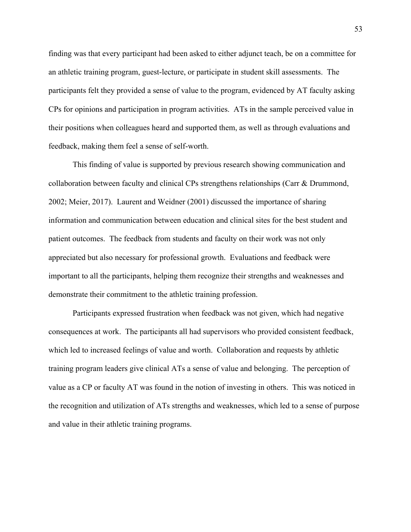finding was that every participant had been asked to either adjunct teach, be on a committee for an athletic training program, guest-lecture, or participate in student skill assessments. The participants felt they provided a sense of value to the program, evidenced by AT faculty asking CPs for opinions and participation in program activities. ATs in the sample perceived value in their positions when colleagues heard and supported them, as well as through evaluations and feedback, making them feel a sense of self-worth.

This finding of value is supported by previous research showing communication and collaboration between faculty and clinical CPs strengthens relationships (Carr & Drummond, 2002; Meier, 2017). Laurent and Weidner (2001) discussed the importance of sharing information and communication between education and clinical sites for the best student and patient outcomes. The feedback from students and faculty on their work was not only appreciated but also necessary for professional growth. Evaluations and feedback were important to all the participants, helping them recognize their strengths and weaknesses and demonstrate their commitment to the athletic training profession.

Participants expressed frustration when feedback was not given, which had negative consequences at work. The participants all had supervisors who provided consistent feedback, which led to increased feelings of value and worth. Collaboration and requests by athletic training program leaders give clinical ATs a sense of value and belonging. The perception of value as a CP or faculty AT was found in the notion of investing in others. This was noticed in the recognition and utilization of ATs strengths and weaknesses, which led to a sense of purpose and value in their athletic training programs.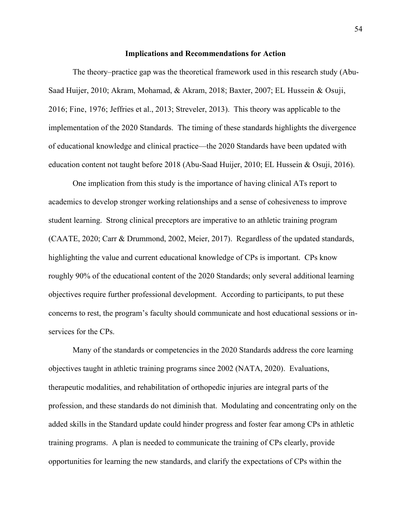#### **Implications and Recommendations for Action**

The theory–practice gap was the theoretical framework used in this research study (Abu-Saad Huijer, 2010; Akram, Mohamad, & Akram, 2018; Baxter, 2007; EL Hussein & Osuji, 2016; Fine, 1976; Jeffries et al., 2013; Streveler, 2013). This theory was applicable to the implementation of the 2020 Standards. The timing of these standards highlights the divergence of educational knowledge and clinical practice—the 2020 Standards have been updated with education content not taught before 2018 (Abu-Saad Huijer, 2010; EL Hussein & Osuji, 2016).

One implication from this study is the importance of having clinical ATs report to academics to develop stronger working relationships and a sense of cohesiveness to improve student learning. Strong clinical preceptors are imperative to an athletic training program (CAATE, 2020; Carr & Drummond, 2002, Meier, 2017). Regardless of the updated standards, highlighting the value and current educational knowledge of CPs is important. CPs know roughly 90% of the educational content of the 2020 Standards; only several additional learning objectives require further professional development. According to participants, to put these concerns to rest, the program's faculty should communicate and host educational sessions or inservices for the CPs.

Many of the standards or competencies in the 2020 Standards address the core learning objectives taught in athletic training programs since 2002 (NATA, 2020). Evaluations, therapeutic modalities, and rehabilitation of orthopedic injuries are integral parts of the profession, and these standards do not diminish that. Modulating and concentrating only on the added skills in the Standard update could hinder progress and foster fear among CPs in athletic training programs. A plan is needed to communicate the training of CPs clearly, provide opportunities for learning the new standards, and clarify the expectations of CPs within the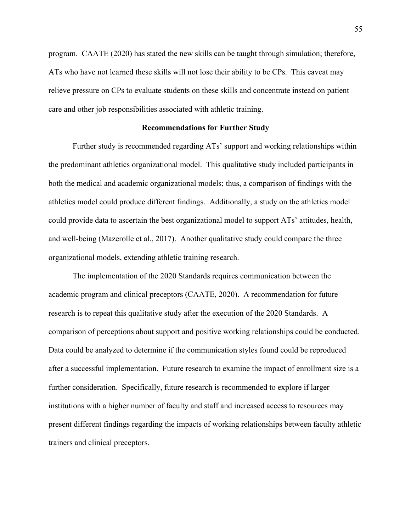program. CAATE (2020) has stated the new skills can be taught through simulation; therefore, ATs who have not learned these skills will not lose their ability to be CPs. This caveat may relieve pressure on CPs to evaluate students on these skills and concentrate instead on patient care and other job responsibilities associated with athletic training.

#### **Recommendations for Further Study**

Further study is recommended regarding ATs' support and working relationships within the predominant athletics organizational model. This qualitative study included participants in both the medical and academic organizational models; thus, a comparison of findings with the athletics model could produce different findings. Additionally, a study on the athletics model could provide data to ascertain the best organizational model to support ATs' attitudes, health, and well-being (Mazerolle et al., 2017). Another qualitative study could compare the three organizational models, extending athletic training research.

The implementation of the 2020 Standards requires communication between the academic program and clinical preceptors (CAATE, 2020). A recommendation for future research is to repeat this qualitative study after the execution of the 2020 Standards. A comparison of perceptions about support and positive working relationships could be conducted. Data could be analyzed to determine if the communication styles found could be reproduced after a successful implementation. Future research to examine the impact of enrollment size is a further consideration. Specifically, future research is recommended to explore if larger institutions with a higher number of faculty and staff and increased access to resources may present different findings regarding the impacts of working relationships between faculty athletic trainers and clinical preceptors.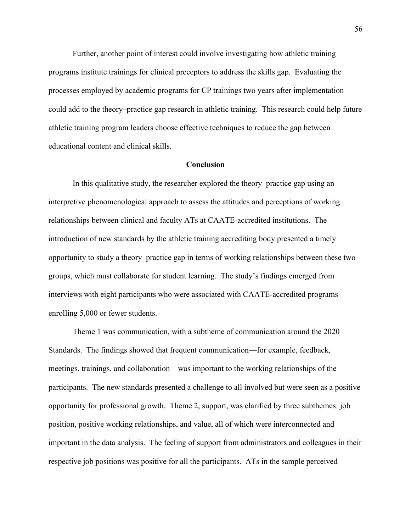Further, another point of interest could involve investigating how athletic training programs institute trainings for clinical preceptors to address the skills gap. Evaluating the processes employed by academic programs for CP trainings two years after implementation could add to the theory–practice gap research in athletic training. This research could help future athletic training program leaders choose effective techniques to reduce the gap between educational content and clinical skills.

#### **Conclusion**

In this qualitative study, the researcher explored the theory–practice gap using an interpretive phenomenological approach to assess the attitudes and perceptions of working relationships between clinical and faculty ATs at CAATE-accredited institutions. The introduction of new standards by the athletic training accrediting body presented a timely opportunity to study a theory–practice gap in terms of working relationships between these two groups, which must collaborate for student learning. The study's findings emerged from interviews with eight participants who were associated with CAATE-accredited programs enrolling 5,000 or fewer students.

Theme 1 was communication, with a subtheme of communication around the 2020 Standards. The findings showed that frequent communication—for example, feedback, meetings, trainings, and collaboration—was important to the working relationships of the participants. The new standards presented a challenge to all involved but were seen as a positive opportunity for professional growth. Theme 2, support, was clarified by three subthemes: job position, positive working relationships, and value, all of which were interconnected and important in the data analysis. The feeling of support from administrators and colleagues in their respective job positions was positive for all the participants. ATs in the sample perceived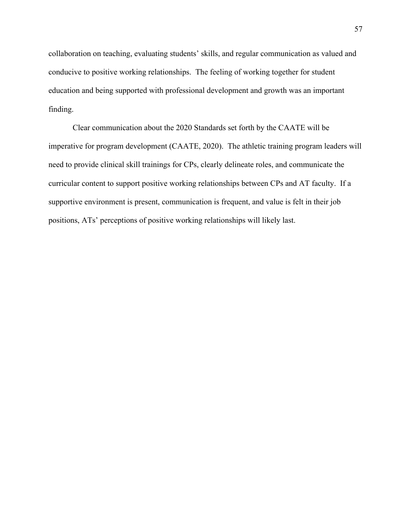collaboration on teaching, evaluating students' skills, and regular communication as valued and conducive to positive working relationships. The feeling of working together for student education and being supported with professional development and growth was an important finding.

Clear communication about the 2020 Standards set forth by the CAATE will be imperative for program development (CAATE, 2020). The athletic training program leaders will need to provide clinical skill trainings for CPs, clearly delineate roles, and communicate the curricular content to support positive working relationships between CPs and AT faculty. If a supportive environment is present, communication is frequent, and value is felt in their job positions, ATs' perceptions of positive working relationships will likely last.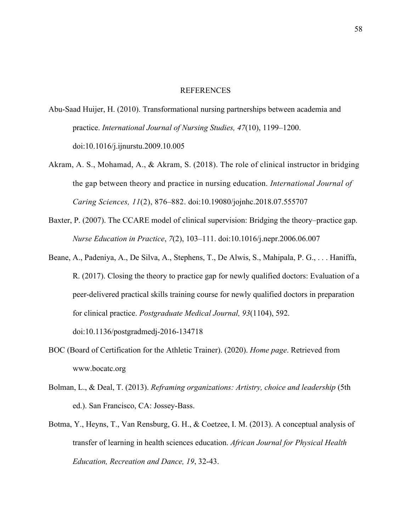#### REFERENCES

- Abu-Saad Huijer, H. (2010). Transformational nursing partnerships between academia and practice. *International Journal of Nursing Studies, 47*(10), 1199–1200. doi:10.1016/j.ijnurstu.2009.10.005
- Akram, A. S., Mohamad, A., & Akram, S. (2018). The role of clinical instructor in bridging the gap between theory and practice in nursing education. *International Journal of Caring Sciences, 11*(2), 876–882. doi:10.19080/jojnhc.2018.07.555707
- Baxter, P. (2007). The CCARE model of clinical supervision: Bridging the theory–practice gap. *Nurse Education in Practice*, *7*(2), 103–111. doi:10.1016/j.nepr.2006.06.007
- Beane, A., Padeniya, A., De Silva, A., Stephens, T., De Alwis, S., Mahipala, P. G., . . . Haniffa, R. (2017). Closing the theory to practice gap for newly qualified doctors: Evaluation of a peer-delivered practical skills training course for newly qualified doctors in preparation for clinical practice. *Postgraduate Medical Journal, 93*(1104), 592. doi:10.1136/postgradmedj-2016-134718
- BOC (Board of Certification for the Athletic Trainer). (2020). *Home page*. Retrieved from www.bocatc.org
- Bolman, L., & Deal, T. (2013). *Reframing organizations: Artistry, choice and leadership* (5th ed.). San Francisco, CA: Jossey-Bass.
- Botma, Y., Heyns, T., Van Rensburg, G. H., & Coetzee, I. M. (2013). A conceptual analysis of transfer of learning in health sciences education. *African Journal for Physical Health Education, Recreation and Dance, 19*, 32-43.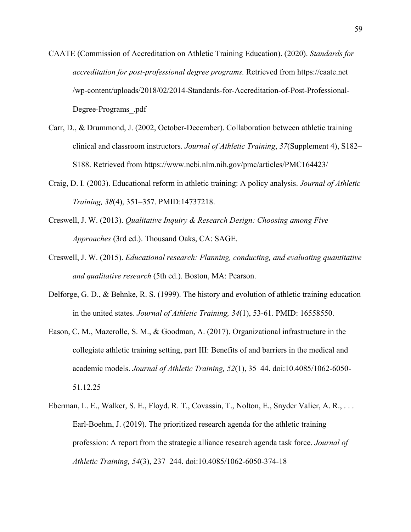- CAATE (Commission of Accreditation on Athletic Training Education). (2020). *Standards for accreditation for post-professional degree programs.* Retrieved from https://caate.net /wp-content/uploads/2018/02/2014-Standards-for-Accreditation-of-Post-Professional-Degree-Programs\_.pdf
- Carr, D., & Drummond, J. (2002, October-December). Collaboration between athletic training clinical and classroom instructors. *Journal of Athletic Training*, *37*(Supplement 4), S182– S188. Retrieved from https://www.ncbi.nlm.nih.gov/pmc/articles/PMC164423/
- Craig, D. I. (2003). Educational reform in athletic training: A policy analysis. *Journal of Athletic Training, 38*(4), 351–357. PMID:14737218.
- Creswell, J. W. (2013). *Qualitative Inquiry & Research Design: Choosing among Five Approaches* (3rd ed.). Thousand Oaks, CA: SAGE.
- Creswell, J. W. (2015). *Educational research: Planning, conducting, and evaluating quantitative and qualitative research* (5th ed.). Boston, MA: Pearson.
- Delforge, G. D., & Behnke, R. S. (1999). The history and evolution of athletic training education in the united states. *Journal of Athletic Training, 34*(1), 53-61. PMID: 16558550.
- Eason, C. M., Mazerolle, S. M., & Goodman, A. (2017). Organizational infrastructure in the collegiate athletic training setting, part III: Benefits of and barriers in the medical and academic models. *Journal of Athletic Training, 52*(1), 35–44. doi:10.4085/1062-6050- 51.12.25
- Eberman, L. E., Walker, S. E., Floyd, R. T., Covassin, T., Nolton, E., Snyder Valier, A. R., . . . Earl-Boehm, J. (2019). The prioritized research agenda for the athletic training profession: A report from the strategic alliance research agenda task force. *Journal of Athletic Training, 54*(3), 237–244. doi:10.4085/1062-6050-374-18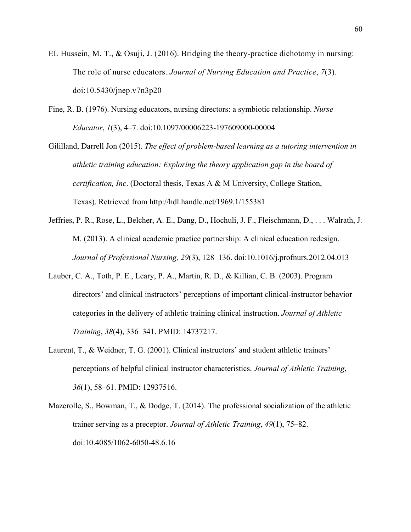- EL Hussein, M. T., & Osuji, J. (2016). Bridging the theory-practice dichotomy in nursing: The role of nurse educators. *Journal of Nursing Education and Practice*, *7*(3). doi:10.5430/jnep.v7n3p20
- Fine, R. B. (1976). Nursing educators, nursing directors: a symbiotic relationship. *Nurse Educator*, *1*(3), 4–7. doi:10.1097/00006223-197609000-00004

Gililland, Darrell Jon (2015). *The effect of problem-based learning as a tutoring intervention in athletic training education: Exploring the theory application gap in the board of certification, Inc*. (Doctoral thesis, Texas A & M University, College Station, Texas). Retrieved from http://hdl.handle.net/1969.1/155381

- Jeffries, P. R., Rose, L., Belcher, A. E., Dang, D., Hochuli, J. F., Fleischmann, D., . . . Walrath, J. M. (2013). A clinical academic practice partnership: A clinical education redesign. *Journal of Professional Nursing, 29*(3), 128–136. doi:10.1016/j.profnurs.2012.04.013
- Lauber, C. A., Toth, P. E., Leary, P. A., Martin, R. D., & Killian, C. B. (2003). Program directors' and clinical instructors' perceptions of important clinical-instructor behavior categories in the delivery of athletic training clinical instruction. *Journal of Athletic Training*, *38*(4), 336–341. PMID: 14737217.
- Laurent, T., & Weidner, T. G. (2001). Clinical instructors' and student athletic trainers' perceptions of helpful clinical instructor characteristics. *Journal of Athletic Training*, *36*(1), 58–61. PMID: 12937516.
- Mazerolle, S., Bowman, T., & Dodge, T. (2014). The professional socialization of the athletic trainer serving as a preceptor. *Journal of Athletic Training*, *49*(1), 75–82. doi:10.4085/1062-6050-48.6.16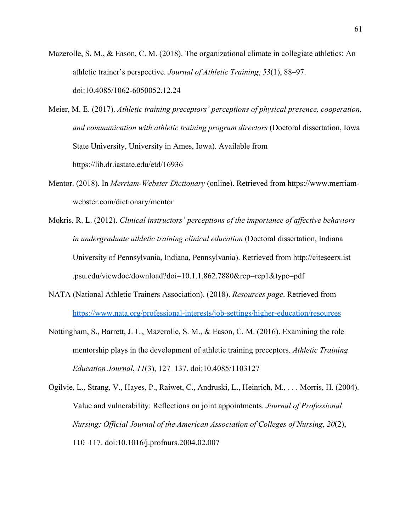- Mazerolle, S. M., & Eason, C. M. (2018). The organizational climate in collegiate athletics: An athletic trainer's perspective. *Journal of Athletic Training*, *53*(1), 88–97. doi:10.4085/1062-6050052.12.24
- Meier, M. E. (2017). *Athletic training preceptors' perceptions of physical presence, cooperation, and communication with athletic training program directors* (Doctoral dissertation, Iowa State University, University in Ames, Iowa). Available from https://lib.dr.iastate.edu/etd/16936
- Mentor. (2018). In *Merriam-Webster Dictionary* (online). Retrieved from https://www.merriamwebster.com/dictionary/mentor
- Mokris, R. L. (2012). *Clinical instructors' perceptions of the importance of affective behaviors in undergraduate athletic training clinical education* (Doctoral dissertation, Indiana University of Pennsylvania, Indiana, Pennsylvania). Retrieved from http://citeseerx.ist .psu.edu/viewdoc/download?doi=10.1.1.862.7880&rep=rep1&type=pdf
- NATA (National Athletic Trainers Association). (2018). *Resources page*. Retrieved from https://www.nata.org/professional-interests/job-settings/higher-education/resources
- Nottingham, S., Barrett, J. L., Mazerolle, S. M., & Eason, C. M. (2016). Examining the role mentorship plays in the development of athletic training preceptors. *Athletic Training Education Journal*, *11*(3), 127–137. doi:10.4085/1103127

Ogilvie, L., Strang, V., Hayes, P., Raiwet, C., Andruski, L., Heinrich, M., . . . Morris, H. (2004). Value and vulnerability: Reflections on joint appointments. *Journal of Professional Nursing: Official Journal of the American Association of Colleges of Nursing*, *20*(2), 110–117. doi:10.1016/j.profnurs.2004.02.007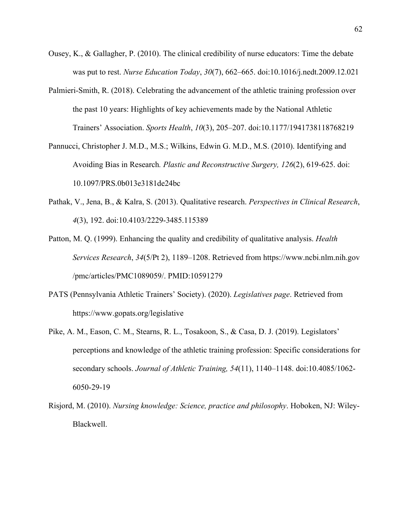- Ousey, K., & Gallagher, P. (2010). The clinical credibility of nurse educators: Time the debate was put to rest. *Nurse Education Today*, *30*(7), 662–665. doi:10.1016/j.nedt.2009.12.021
- Palmieri-Smith, R. (2018). Celebrating the advancement of the athletic training profession over the past 10 years: Highlights of key achievements made by the National Athletic Trainers' Association. *Sports Health*, *10*(3), 205–207. doi:10.1177/1941738118768219
- Pannucci, Christopher J. M.D., M.S.; Wilkins, Edwin G. M.D., M.S. (2010). Identifying and Avoiding Bias in Research*. Plastic and Reconstructive Surgery, 126*(2), 619-625. doi: 10.1097/PRS.0b013e3181de24bc
- Pathak, V., Jena, B., & Kalra, S. (2013). Qualitative research. *Perspectives in Clinical Research*, *4*(3), 192. doi:10.4103/2229-3485.115389
- Patton, M. Q. (1999). Enhancing the quality and credibility of qualitative analysis. *Health Services Research*, *34*(5/Pt 2), 1189–1208. Retrieved from https://www.ncbi.nlm.nih.gov /pmc/articles/PMC1089059/. PMID:10591279
- PATS (Pennsylvania Athletic Trainers' Society). (2020). *Legislatives page*. Retrieved from https://www.gopats.org/legislative
- Pike, A. M., Eason, C. M., Stearns, R. L., Tosakoon, S., & Casa, D. J. (2019). Legislators' perceptions and knowledge of the athletic training profession: Specific considerations for secondary schools. *Journal of Athletic Training, 54*(11), 1140–1148. doi:10.4085/1062- 6050-29-19
- Risjord, M. (2010). *Nursing knowledge: Science, practice and philosophy*. Hoboken, NJ: Wiley-Blackwell.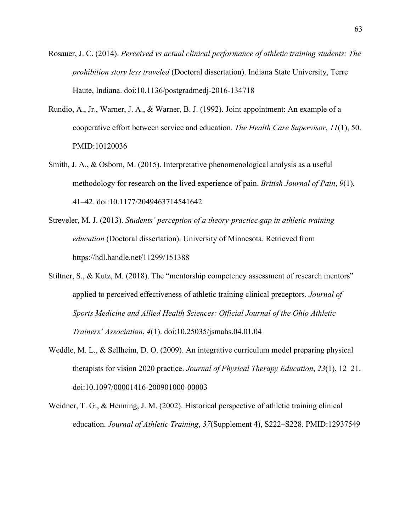Rosauer, J. C. (2014). *Perceived vs actual clinical performance of athletic training students: The prohibition story less traveled* (Doctoral dissertation). Indiana State University, Terre Haute, Indiana. doi:10.1136/postgradmedj-2016-134718

- Rundio, A., Jr., Warner, J. A., & Warner, B. J. (1992). Joint appointment: An example of a cooperative effort between service and education. *The Health Care Supervisor*, *11*(1), 50. PMID:10120036
- Smith, J. A., & Osborn, M. (2015). Interpretative phenomenological analysis as a useful methodology for research on the lived experience of pain. *British Journal of Pain*, *9*(1), 41–42. doi:10.1177/2049463714541642
- Streveler, M. J. (2013). *Students' perception of a theory-practice gap in athletic training education* (Doctoral dissertation). University of Minnesota. Retrieved from https://hdl.handle.net/11299/151388
- Stiltner, S., & Kutz, M. (2018). The "mentorship competency assessment of research mentors" applied to perceived effectiveness of athletic training clinical preceptors. *Journal of Sports Medicine and Allied Health Sciences: Official Journal of the Ohio Athletic Trainers' Association*, *4*(1). doi:10.25035/jsmahs.04.01.04
- Weddle, M. L., & Sellheim, D. O. (2009). An integrative curriculum model preparing physical therapists for vision 2020 practice. *Journal of Physical Therapy Education*, *23*(1), 12–21. doi:10.1097/00001416-200901000-00003
- Weidner, T. G., & Henning, J. M. (2002). Historical perspective of athletic training clinical education. *Journal of Athletic Training*, *37*(Supplement 4), S222–S228. PMID:12937549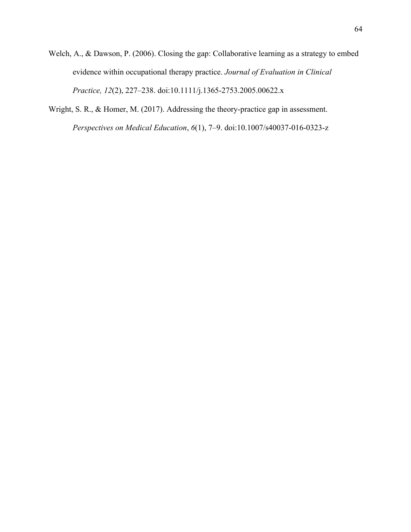- Welch, A., & Dawson, P. (2006). Closing the gap: Collaborative learning as a strategy to embed evidence within occupational therapy practice. *Journal of Evaluation in Clinical Practice, 12*(2), 227–238. doi:10.1111/j.1365-2753.2005.00622.x
- Wright, S. R., & Homer, M. (2017). Addressing the theory-practice gap in assessment. *Perspectives on Medical Education*, *6*(1), 7–9. doi:10.1007/s40037-016-0323-z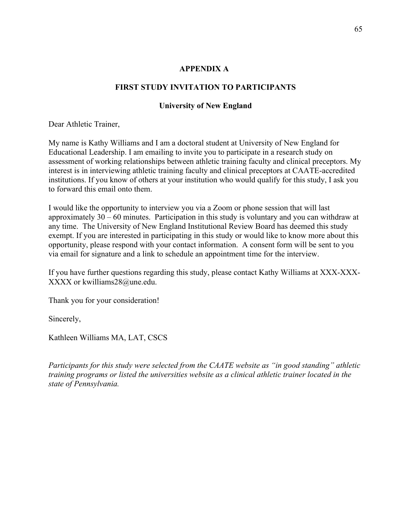#### **APPENDIX A:**

### **FIRST STUDY INVITATION TO PARTICIPANTS**

## **University of New England**

Dear Athletic Trainer,

My name is Kathy Williams and I am a doctoral student at University of New England for Educational Leadership. I am emailing to invite you to participate in a research study on assessment of working relationships between athletic training faculty and clinical preceptors. My interest is in interviewing athletic training faculty and clinical preceptors at CAATE-accredited institutions. If you know of others at your institution who would qualify for this study, I ask you to forward this email onto them.

I would like the opportunity to interview you via a Zoom or phone session that will last approximately 30 – 60 minutes. Participation in this study is voluntary and you can withdraw at any time. The University of New England Institutional Review Board has deemed this study exempt. If you are interested in participating in this study or would like to know more about this opportunity, please respond with your contact information. A consent form will be sent to you via email for signature and a link to schedule an appointment time for the interview.

If you have further questions regarding this study, please contact Kathy Williams at XXX-XXX-XXXX or kwilliams28@une.edu.

Thank you for your consideration!

Sincerely,

Kathleen Williams MA, LAT, CSCS

*Participants for this study were selected from the CAATE website as "in good standing" athletic training programs or listed the universities website as a clinical athletic trainer located in the state of Pennsylvania.*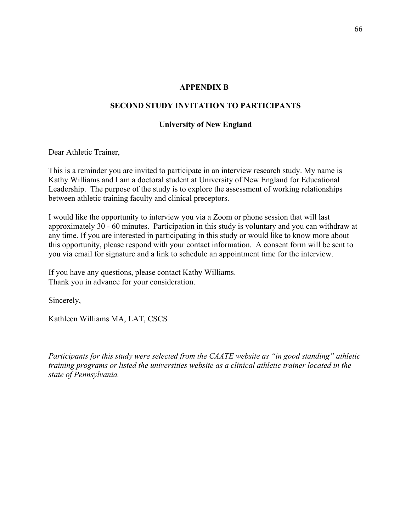#### **APPENDIX B:**

#### **SECOND STUDY INVITATION TO PARTICIPANTS**

#### **University of New England**

Dear Athletic Trainer,

This is a reminder you are invited to participate in an interview research study. My name is Kathy Williams and I am a doctoral student at University of New England for Educational Leadership. The purpose of the study is to explore the assessment of working relationships between athletic training faculty and clinical preceptors.

I would like the opportunity to interview you via a Zoom or phone session that will last approximately 30 - 60 minutes. Participation in this study is voluntary and you can withdraw at any time. If you are interested in participating in this study or would like to know more about this opportunity, please respond with your contact information. A consent form will be sent to you via email for signature and a link to schedule an appointment time for the interview.

If you have any questions, please contact Kathy Williams. Thank you in advance for your consideration.

Sincerely,

Kathleen Williams MA, LAT, CSCS

*Participants for this study were selected from the CAATE website as "in good standing" athletic training programs or listed the universities website as a clinical athletic trainer located in the state of Pennsylvania.*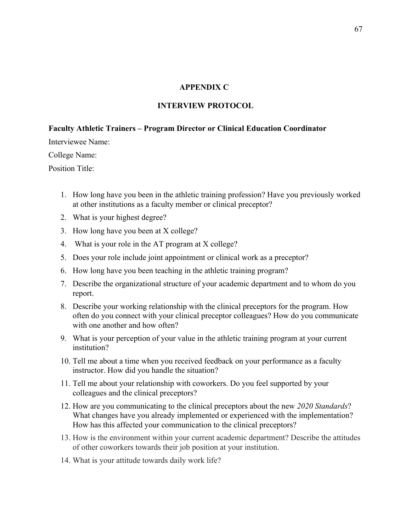#### **APPENDIX C:**

#### **INTERVIEW PROTOCOL**

#### **Faculty Athletic Trainers – Program Director or Clinical Education Coordinator**

Interviewee Name:

College Name:

Position Title:

- 1. How long have you been in the athletic training profession? Have you previously worked at other institutions as a faculty member or clinical preceptor?
- 2. What is your highest degree?
- 3. How long have you been at X college?
- 4. What is your role in the AT program at X college?
- 5. Does your role include joint appointment or clinical work as a preceptor?
- 6. How long have you been teaching in the athletic training program?
- 7. Describe the organizational structure of your academic department and to whom do you report.
- 8. Describe your working relationship with the clinical preceptors for the program. How often do you connect with your clinical preceptor colleagues? How do you communicate with one another and how often?
- 9. What is your perception of your value in the athletic training program at your current institution?
- 10. Tell me about a time when you received feedback on your performance as a faculty instructor. How did you handle the situation?
- 11. Tell me about your relationship with coworkers. Do you feel supported by your colleagues and the clinical preceptors?
- 12. How are you communicating to the clinical preceptors about the new *2020 Standards*? What changes have you already implemented or experienced with the implementation? How has this affected your communication to the clinical preceptors?
- 13. How is the environment within your current academic department? Describe the attitudes of other coworkers towards their job position at your institution.
- 14. What is your attitude towards daily work life?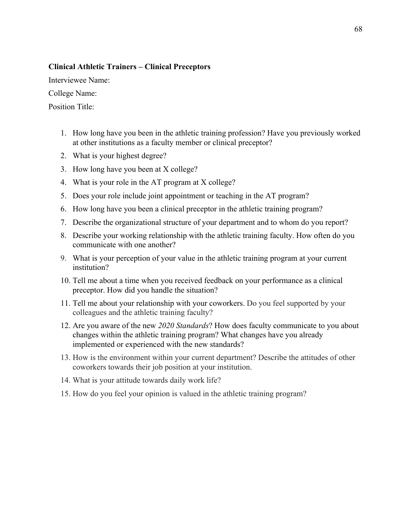#### **Clinical Athletic Trainers – Clinical Preceptors**

Interviewee Name:

College Name:

Position Title:

- 1. How long have you been in the athletic training profession? Have you previously worked at other institutions as a faculty member or clinical preceptor?
- 2. What is your highest degree?
- 3. How long have you been at X college?
- 4. What is your role in the AT program at X college?
- 5. Does your role include joint appointment or teaching in the AT program?
- 6. How long have you been a clinical preceptor in the athletic training program?
- 7. Describe the organizational structure of your department and to whom do you report?
- 8. Describe your working relationship with the athletic training faculty. How often do you communicate with one another?
- 9. What is your perception of your value in the athletic training program at your current institution?
- 10. Tell me about a time when you received feedback on your performance as a clinical preceptor. How did you handle the situation?
- 11. Tell me about your relationship with your coworkers. Do you feel supported by your colleagues and the athletic training faculty?
- 12. Are you aware of the new *2020 Standards*? How does faculty communicate to you about changes within the athletic training program? What changes have you already implemented or experienced with the new standards?
- 13. How is the environment within your current department? Describe the attitudes of other coworkers towards their job position at your institution.
- 14. What is your attitude towards daily work life?
- 15. How do you feel your opinion is valued in the athletic training program?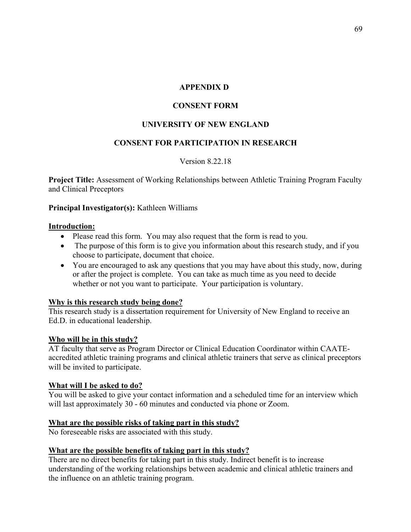#### **APPENDIX D:**

## **CONSENT FORM**

## **UNIVERSITY OF NEW ENGLAND**

## **CONSENT FOR PARTICIPATION IN RESEARCH**

### Version 8.22.18

**Project Title:** Assessment of Working Relationships between Athletic Training Program Faculty and Clinical Preceptors

### **Principal Investigator(s):** Kathleen Williams

#### **Introduction:**

- Please read this form. You may also request that the form is read to you.
- The purpose of this form is to give you information about this research study, and if you choose to participate, document that choice.
- You are encouraged to ask any questions that you may have about this study, now, during or after the project is complete. You can take as much time as you need to decide whether or not you want to participate. Your participation is voluntary.

### **Why is this research study being done?**

This research study is a dissertation requirement for University of New England to receive an Ed.D. in educational leadership.

### **Who will be in this study?**

AT faculty that serve as Program Director or Clinical Education Coordinator within CAATEaccredited athletic training programs and clinical athletic trainers that serve as clinical preceptors will be invited to participate.

### **What will I be asked to do?**

You will be asked to give your contact information and a scheduled time for an interview which will last approximately 30 - 60 minutes and conducted via phone or Zoom.

### **What are the possible risks of taking part in this study?**

No foreseeable risks are associated with this study.

### **What are the possible benefits of taking part in this study?**

There are no direct benefits for taking part in this study. Indirect benefit is to increase understanding of the working relationships between academic and clinical athletic trainers and the influence on an athletic training program.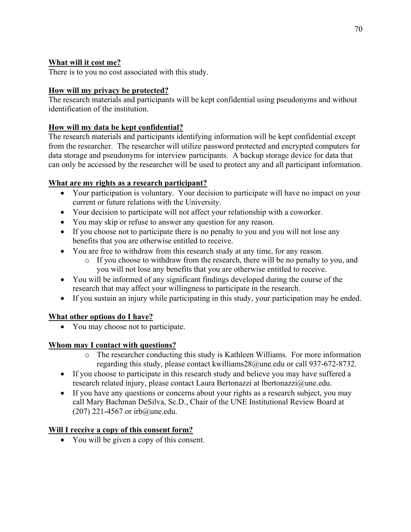# **What will it cost me?**

There is to you no cost associated with this study.

# **How will my privacy be protected?**

The research materials and participants will be kept confidential using pseudonyms and without identification of the institution.

# **How will my data be kept confidential?**

The research materials and participants identifying information will be kept confidential except from the researcher. The researcher will utilize password protected and encrypted computers for data storage and pseudonyms for interview participants. A backup storage device for data that can only be accessed by the researcher will be used to protect any and all participant information.

# **What are my rights as a research participant?**

- Your participation is voluntary. Your decision to participate will have no impact on your current or future relations with the University.
- Your decision to participate will not affect your relationship with a coworker.
- You may skip or refuse to answer any question for any reason.
- If you choose not to participate there is no penalty to you and you will not lose any benefits that you are otherwise entitled to receive.
- You are free to withdraw from this research study at any time, for any reason.
	- o If you choose to withdraw from the research, there will be no penalty to you, and you will not lose any benefits that you are otherwise entitled to receive.
- You will be informed of any significant findings developed during the course of the research that may affect your willingness to participate in the research.
- If you sustain an injury while participating in this study, your participation may be ended.

## **What other options do I have?**

• You may choose not to participate.

# **Whom may I contact with questions?**

- o The researcher conducting this study is Kathleen Williams. For more information regarding this study, please contact kwilliams28@une.edu or call 937-672-8732.
- If you choose to participate in this research study and believe you may have suffered a research related injury, please contact Laura Bertonazzi at Ibertonazzi@une.edu.
- If you have any questions or concerns about your rights as a research subject, you may call Mary Bachman DeSilva, Sc.D., Chair of the UNE Institutional Review Board at (207) 221-4567 or irb@une.edu.

# **Will I receive a copy of this consent form?**

• You will be given a copy of this consent.